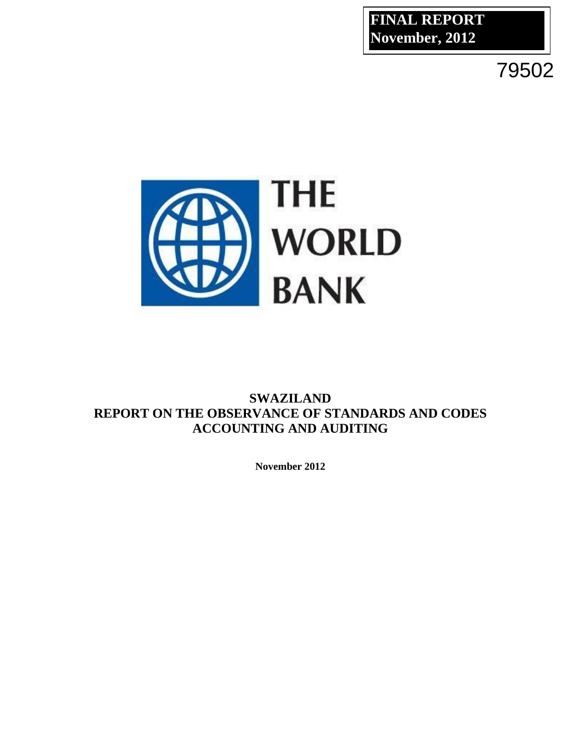**FINAL REPORT November, 2012**

79502



# **SWAZILAND REPORT ON THE OBSERVANCE OF STANDARDS AND CODES ACCOUNTING AND AUDITING**

**November 2012**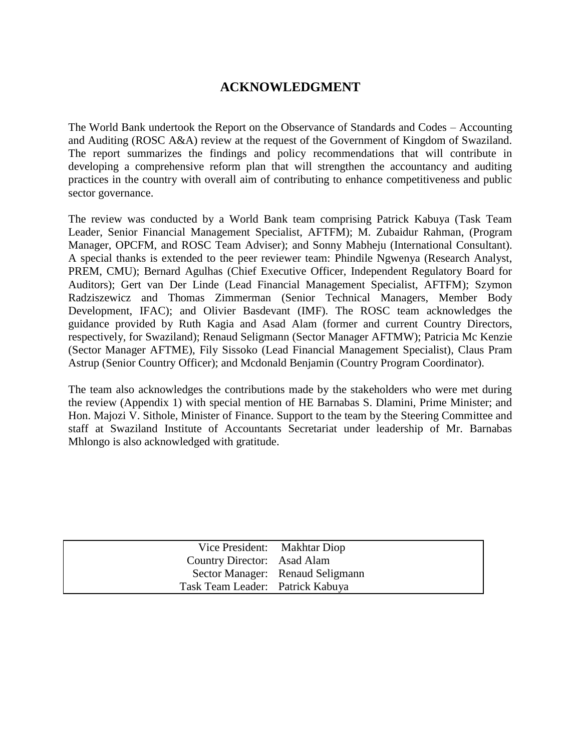# **ACKNOWLEDGMENT**

The World Bank undertook the Report on the Observance of Standards and Codes – Accounting and Auditing (ROSC A&A) review at the request of the Government of Kingdom of Swaziland. The report summarizes the findings and policy recommendations that will contribute in developing a comprehensive reform plan that will strengthen the accountancy and auditing practices in the country with overall aim of contributing to enhance competitiveness and public sector governance.

The review was conducted by a World Bank team comprising Patrick Kabuya (Task Team Leader, Senior Financial Management Specialist, AFTFM); M. Zubaidur Rahman, (Program Manager, OPCFM, and ROSC Team Adviser); and Sonny Mabheju (International Consultant). A special thanks is extended to the peer reviewer team: Phindile Ngwenya (Research Analyst, PREM, CMU); Bernard Agulhas (Chief Executive Officer, Independent Regulatory Board for Auditors); Gert van Der Linde (Lead Financial Management Specialist, AFTFM); Szymon Radziszewicz and Thomas Zimmerman (Senior Technical Managers, Member Body Development, IFAC); and Olivier Basdevant (IMF). The ROSC team acknowledges the guidance provided by Ruth Kagia and Asad Alam (former and current Country Directors, respectively, for Swaziland); Renaud Seligmann (Sector Manager AFTMW); Patricia Mc Kenzie (Sector Manager AFTME), Fily Sissoko (Lead Financial Management Specialist), Claus Pram Astrup (Senior Country Officer); and Mcdonald Benjamin (Country Program Coordinator).

The team also acknowledges the contributions made by the stakeholders who were met during the review (Appendix 1) with special mention of HE Barnabas S. Dlamini, Prime Minister; and Hon. Majozi V. Sithole, Minister of Finance. Support to the team by the Steering Committee and staff at Swaziland Institute of Accountants Secretariat under leadership of Mr. Barnabas Mhlongo is also acknowledged with gratitude.

| Vice President: Makhtar Diop     |                                  |
|----------------------------------|----------------------------------|
| Country Director: Asad Alam      |                                  |
|                                  | Sector Manager: Renaud Seligmann |
| Task Team Leader: Patrick Kabuya |                                  |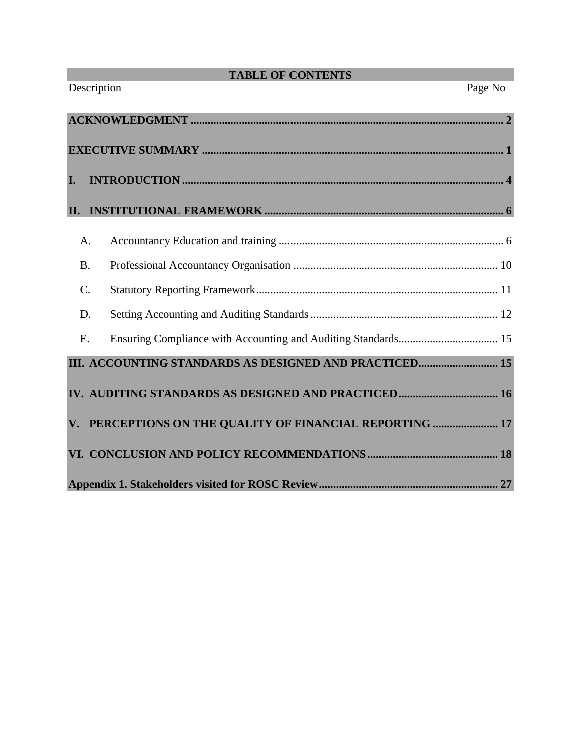## **TABLE OF CONTENTS**

| Description     | Page No                                                       |  |
|-----------------|---------------------------------------------------------------|--|
|                 |                                                               |  |
|                 |                                                               |  |
| I.              |                                                               |  |
|                 |                                                               |  |
| A.              |                                                               |  |
| <b>B.</b>       |                                                               |  |
| $\mathcal{C}$ . |                                                               |  |
| D.              |                                                               |  |
| E.              |                                                               |  |
|                 | <b>III. ACCOUNTING STANDARDS AS DESIGNED AND PRACTICED 15</b> |  |
|                 | IV. AUDITING STANDARDS AS DESIGNED AND PRACTICED 16           |  |
|                 | V. PERCEPTIONS ON THE QUALITY OF FINANCIAL REPORTING  17      |  |
|                 |                                                               |  |
|                 |                                                               |  |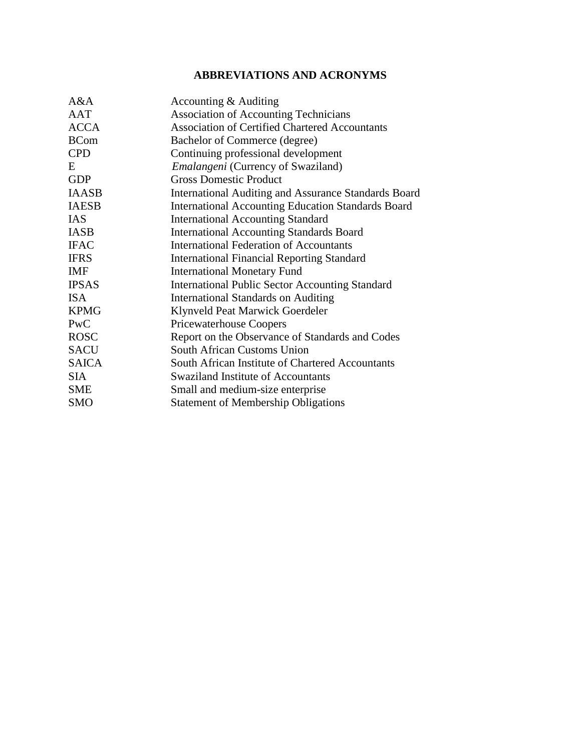# **ABBREVIATIONS AND ACRONYMS**

| A&A          | Accounting & Auditing                                     |
|--------------|-----------------------------------------------------------|
| <b>AAT</b>   | <b>Association of Accounting Technicians</b>              |
| <b>ACCA</b>  | <b>Association of Certified Chartered Accountants</b>     |
| <b>BCom</b>  | Bachelor of Commerce (degree)                             |
| <b>CPD</b>   | Continuing professional development                       |
| Ε            | Emalangeni (Currency of Swaziland)                        |
| <b>GDP</b>   | <b>Gross Domestic Product</b>                             |
| <b>IAASB</b> | International Auditing and Assurance Standards Board      |
| <b>IAESB</b> | <b>International Accounting Education Standards Board</b> |
| <b>IAS</b>   | <b>International Accounting Standard</b>                  |
| <b>IASB</b>  | <b>International Accounting Standards Board</b>           |
| <b>IFAC</b>  | <b>International Federation of Accountants</b>            |
| <b>IFRS</b>  | <b>International Financial Reporting Standard</b>         |
| <b>IMF</b>   | <b>International Monetary Fund</b>                        |
| <b>IPSAS</b> | <b>International Public Sector Accounting Standard</b>    |
| <b>ISA</b>   | <b>International Standards on Auditing</b>                |
| <b>KPMG</b>  | Klynveld Peat Marwick Goerdeler                           |
| PwC          | <b>Pricewaterhouse Coopers</b>                            |
| <b>ROSC</b>  | Report on the Observance of Standards and Codes           |
| <b>SACU</b>  | South African Customs Union                               |
| <b>SAICA</b> | South African Institute of Chartered Accountants          |
| <b>SIA</b>   | <b>Swaziland Institute of Accountants</b>                 |
| <b>SME</b>   | Small and medium-size enterprise                          |
| <b>SMO</b>   | <b>Statement of Membership Obligations</b>                |
|              |                                                           |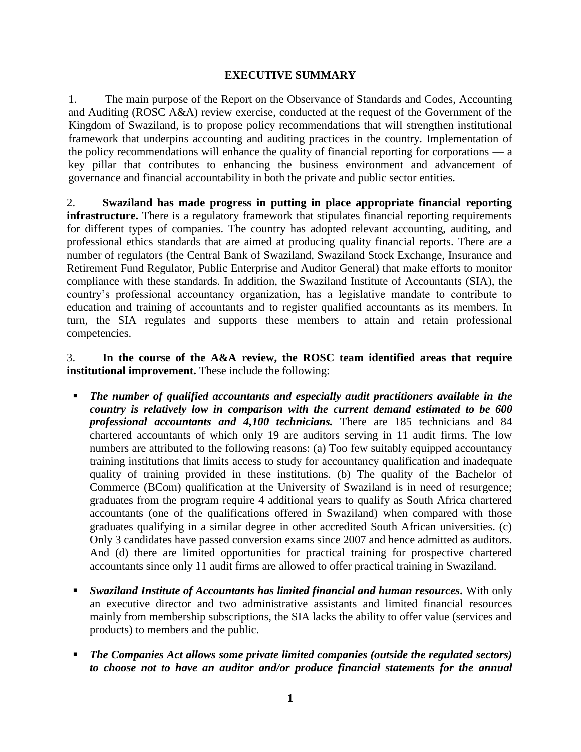#### **EXECUTIVE SUMMARY**

1. The main purpose of the Report on the Observance of Standards and Codes, Accounting and Auditing (ROSC A&A) review exercise, conducted at the request of the Government of the Kingdom of Swaziland, is to propose policy recommendations that will strengthen institutional framework that underpins accounting and auditing practices in the country. Implementation of the policy recommendations will enhance the quality of financial reporting for corporations  $\frac{a}{b}$ key pillar that contributes to enhancing the business environment and advancement of governance and financial accountability in both the private and public sector entities.

2. **Swaziland has made progress in putting in place appropriate financial reporting infrastructure.** There is a regulatory framework that stipulates financial reporting requirements for different types of companies. The country has adopted relevant accounting, auditing, and professional ethics standards that are aimed at producing quality financial reports. There are a number of regulators (the Central Bank of Swaziland, Swaziland Stock Exchange, Insurance and Retirement Fund Regulator, Public Enterprise and Auditor General) that make efforts to monitor compliance with these standards. In addition, the Swaziland Institute of Accountants (SIA), the country's professional accountancy organization, has a legislative mandate to contribute to education and training of accountants and to register qualified accountants as its members. In turn, the SIA regulates and supports these members to attain and retain professional competencies.

3. **In the course of the A&A review, the ROSC team identified areas that require institutional improvement.** These include the following:

- *The number of qualified accountants and especially audit practitioners available in the country is relatively low in comparison with the current demand estimated to be 600 professional accountants and 4,100 technicians.* There are 185 technicians and 84 chartered accountants of which only 19 are auditors serving in 11 audit firms. The low numbers are attributed to the following reasons: (a) Too few suitably equipped accountancy training institutions that limits access to study for accountancy qualification and inadequate quality of training provided in these institutions. (b) The quality of the Bachelor of Commerce (BCom) qualification at the University of Swaziland is in need of resurgence; graduates from the program require 4 additional years to qualify as South Africa chartered accountants (one of the qualifications offered in Swaziland) when compared with those graduates qualifying in a similar degree in other accredited South African universities. (c) Only 3 candidates have passed conversion exams since 2007 and hence admitted as auditors. And (d) there are limited opportunities for practical training for prospective chartered accountants since only 11 audit firms are allowed to offer practical training in Swaziland.
- *Swaziland Institute of Accountants has limited financial and human resources.* With only an executive director and two administrative assistants and limited financial resources mainly from membership subscriptions, the SIA lacks the ability to offer value (services and products) to members and the public.
- *The Companies Act allows some private limited companies (outside the regulated sectors) to choose not to have an auditor and/or produce financial statements for the annual*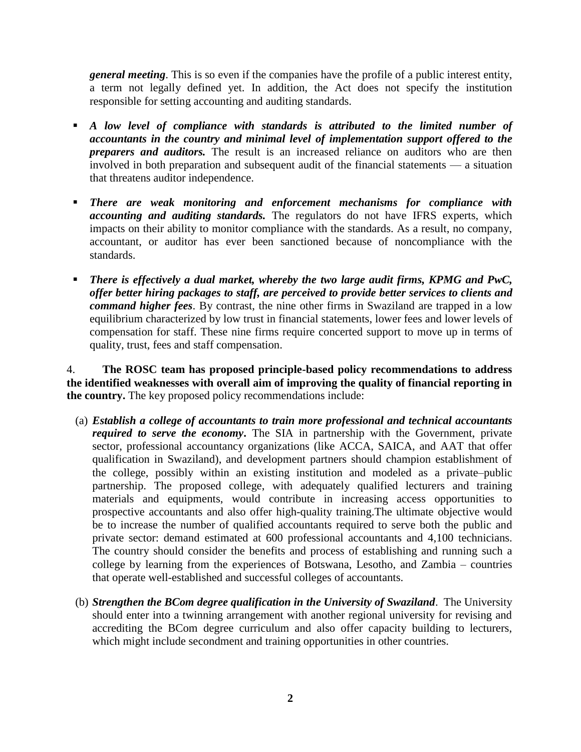*general meeting*. This is so even if the companies have the profile of a public interest entity, a term not legally defined yet. In addition, the Act does not specify the institution responsible for setting accounting and auditing standards.

- *A low level of compliance with standards is attributed to the limited number of accountants in the country and minimal level of implementation support offered to the preparers and auditors.* The result is an increased reliance on auditors who are then involved in both preparation and subsequent audit of the financial statements — a situation that threatens auditor independence.
- *There are weak monitoring and enforcement mechanisms for compliance with accounting and auditing standards.* The regulators do not have IFRS experts, which impacts on their ability to monitor compliance with the standards. As a result, no company, accountant, or auditor has ever been sanctioned because of noncompliance with the standards.
- *There is effectively a dual market, whereby the two large audit firms, KPMG and PwC, offer better hiring packages to staff, are perceived to provide better services to clients and command higher fees*. By contrast, the nine other firms in Swaziland are trapped in a low equilibrium characterized by low trust in financial statements, lower fees and lower levels of compensation for staff. These nine firms require concerted support to move up in terms of quality, trust, fees and staff compensation.

4. **The ROSC team has proposed principle-based policy recommendations to address the identified weaknesses with overall aim of improving the quality of financial reporting in the country.** The key proposed policy recommendations include:

- (a) *Establish a college of accountants to train more professional and technical accountants required to serve the economy***.** The SIA in partnership with the Government, private sector, professional accountancy organizations (like ACCA, SAICA, and AAT that offer qualification in Swaziland), and development partners should champion establishment of the college, possibly within an existing institution and modeled as a private–public partnership. The proposed college, with adequately qualified lecturers and training materials and equipments, would contribute in increasing access opportunities to prospective accountants and also offer high-quality training.The ultimate objective would be to increase the number of qualified accountants required to serve both the public and private sector: demand estimated at 600 professional accountants and 4,100 technicians. The country should consider the benefits and process of establishing and running such a college by learning from the experiences of Botswana, Lesotho, and Zambia – countries that operate well-established and successful colleges of accountants.
- (b) *Strengthen the BCom degree qualification in the University of Swaziland*. The University should enter into a twinning arrangement with another regional university for revising and accrediting the BCom degree curriculum and also offer capacity building to lecturers, which might include secondment and training opportunities in other countries.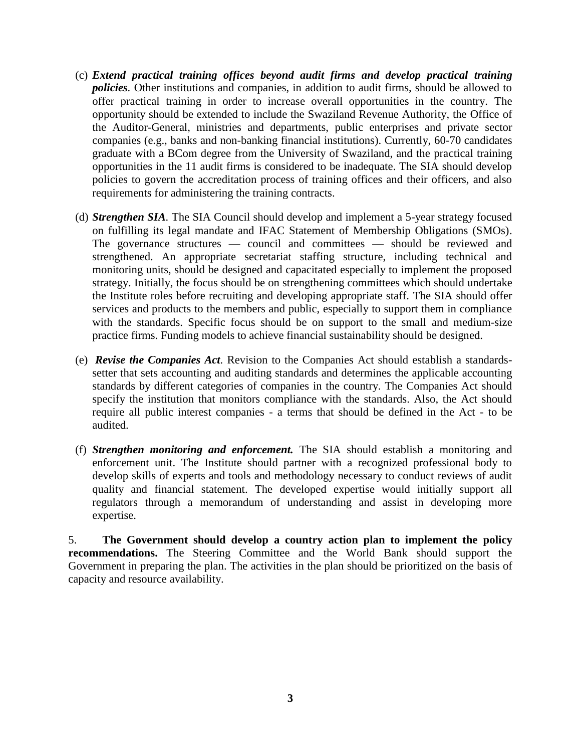- (c) *Extend practical training offices beyond audit firms and develop practical training policies.* Other institutions and companies, in addition to audit firms, should be allowed to offer practical training in order to increase overall opportunities in the country. The opportunity should be extended to include the Swaziland Revenue Authority, the Office of the Auditor-General, ministries and departments, public enterprises and private sector companies (e.g., banks and non-banking financial institutions). Currently, 60-70 candidates graduate with a BCom degree from the University of Swaziland, and the practical training opportunities in the 11 audit firms is considered to be inadequate. The SIA should develop policies to govern the accreditation process of training offices and their officers, and also requirements for administering the training contracts.
- (d) *Strengthen SIA.* The SIA Council should develop and implement a 5-year strategy focused on fulfilling its legal mandate and IFAC Statement of Membership Obligations (SMOs). The governance structures — council and committees — should be reviewed and strengthened. An appropriate secretariat staffing structure, including technical and monitoring units, should be designed and capacitated especially to implement the proposed strategy. Initially, the focus should be on strengthening committees which should undertake the Institute roles before recruiting and developing appropriate staff. The SIA should offer services and products to the members and public, especially to support them in compliance with the standards. Specific focus should be on support to the small and medium-size practice firms. Funding models to achieve financial sustainability should be designed.
- (e) *Revise the Companies Act.* Revision to the Companies Act should establish a standardssetter that sets accounting and auditing standards and determines the applicable accounting standards by different categories of companies in the country. The Companies Act should specify the institution that monitors compliance with the standards. Also, the Act should require all public interest companies - a terms that should be defined in the Act - to be audited.
- (f) *Strengthen monitoring and enforcement.* The SIA should establish a monitoring and enforcement unit. The Institute should partner with a recognized professional body to develop skills of experts and tools and methodology necessary to conduct reviews of audit quality and financial statement. The developed expertise would initially support all regulators through a memorandum of understanding and assist in developing more expertise.

5. **The Government should develop a country action plan to implement the policy recommendations.** The Steering Committee and the World Bank should support the Government in preparing the plan. The activities in the plan should be prioritized on the basis of capacity and resource availability.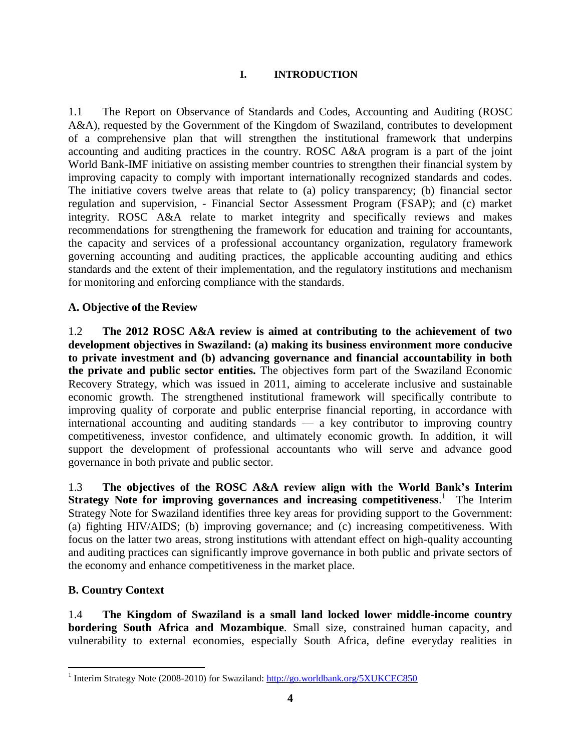#### **I. INTRODUCTION**

1.1 The Report on Observance of Standards and Codes, Accounting and Auditing (ROSC A&A), requested by the Government of the Kingdom of Swaziland, contributes to development of a comprehensive plan that will strengthen the institutional framework that underpins accounting and auditing practices in the country. ROSC A&A program is a part of the joint World Bank-IMF initiative on assisting member countries to strengthen their financial system by improving capacity to comply with important internationally recognized standards and codes. The initiative covers twelve areas that relate to (a) policy transparency; (b) financial sector regulation and supervision, - Financial Sector Assessment Program (FSAP); and (c) market integrity. ROSC A&A relate to market integrity and specifically reviews and makes recommendations for strengthening the framework for education and training for accountants, the capacity and services of a professional accountancy organization, regulatory framework governing accounting and auditing practices, the applicable accounting auditing and ethics standards and the extent of their implementation, and the regulatory institutions and mechanism for monitoring and enforcing compliance with the standards.

#### **A. Objective of the Review**

1.2 **The 2012 ROSC A&A review is aimed at contributing to the achievement of two development objectives in Swaziland: (a) making its business environment more conducive to private investment and (b) advancing governance and financial accountability in both the private and public sector entities.** The objectives form part of the Swaziland Economic Recovery Strategy, which was issued in 2011, aiming to accelerate inclusive and sustainable economic growth. The strengthened institutional framework will specifically contribute to improving quality of corporate and public enterprise financial reporting, in accordance with international accounting and auditing standards — a key contributor to improving country competitiveness, investor confidence, and ultimately economic growth. In addition, it will support the development of professional accountants who will serve and advance good governance in both private and public sector.

1.3 **The objectives of the ROSC A&A review align with the World Bank's Interim**  Strategy Note for improving governances and increasing competitiveness.<sup>1</sup> The Interim Strategy Note for Swaziland identifies three key areas for providing support to the Government: (a) fighting HIV/AIDS; (b) improving governance; and (c) increasing competitiveness. With focus on the latter two areas, strong institutions with attendant effect on high-quality accounting and auditing practices can significantly improve governance in both public and private sectors of the economy and enhance competitiveness in the market place.

## **B. Country Context**

1.4 **The Kingdom of Swaziland is a small land locked lower middle-income country bordering South Africa and Mozambique**. Small size, constrained human capacity, and vulnerability to external economies, especially South Africa, define everyday realities in

<sup>&</sup>lt;sup>1</sup> Interim Strategy Note (2008-2010) for Swaziland:<http://go.worldbank.org/5XUKCEC850>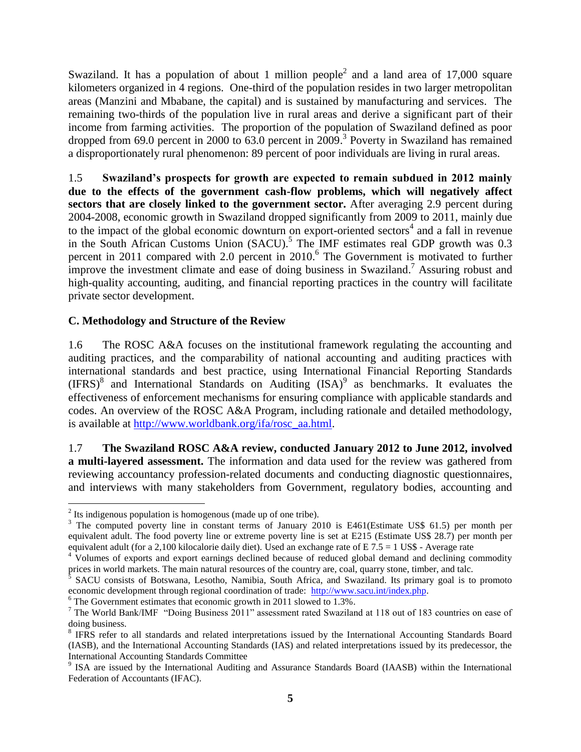Swaziland. It has a population of about 1 million people<sup>2</sup> and a land area of 17,000 square kilometers organized in 4 regions. One-third of the population resides in two larger metropolitan areas (Manzini and Mbabane, the capital) and is sustained by manufacturing and services. The remaining two-thirds of the population live in rural areas and derive a significant part of their income from farming activities. The proportion of the population of Swaziland defined as poor dropped from 69.0 percent in 2000 to 63.0 percent in 2009. 3 Poverty in Swaziland has remained a disproportionately rural phenomenon: 89 percent of poor individuals are living in rural areas.

1.5 **Swaziland's prospects for growth are expected to remain subdued in 2012 mainly due to the effects of the government cash-flow problems, which will negatively affect sectors that are closely linked to the government sector.** After averaging 2.9 percent during 2004-2008, economic growth in Swaziland dropped significantly from 2009 to 2011, mainly due to the impact of the global economic downturn on export-oriented sectors<sup>4</sup> and a fall in revenue in the South African Customs Union (SACU). 5 The IMF estimates real GDP growth was 0.3 percent in 2011 compared with 2.0 percent in 2010. 6 The Government is motivated to further improve the investment climate and ease of doing business in Swaziland.<sup>7</sup> Assuring robust and high-quality accounting, auditing, and financial reporting practices in the country will facilitate private sector development.

## **C. Methodology and Structure of the Review**

1.6 The ROSC A&A focuses on the institutional framework regulating the accounting and auditing practices, and the comparability of national accounting and auditing practices with international standards and best practice, using International Financial Reporting Standards  $(IFRS)^8$  and International Standards on Auditing  $(ISA)^9$  as benchmarks. It evaluates the effectiveness of enforcement mechanisms for ensuring compliance with applicable standards and codes. An overview of the ROSC A&A Program, including rationale and detailed methodology, is available at [http://www.worldbank.org/ifa/rosc\\_aa.html.](http://www.worldbank.org/ifa/rosc_aa.html)

1.7 **The Swaziland ROSC A&A review, conducted January 2012 to June 2012, involved a multi-layered assessment.** The information and data used for the review was gathered from reviewing accountancy profession-related documents and conducting diagnostic questionnaires, and interviews with many stakeholders from Government, regulatory bodies, accounting and

<sup>&</sup>lt;sup>2</sup> Its indigenous population is homogenous (made up of one tribe).

<sup>&</sup>lt;sup>3</sup> The computed poverty line in constant terms of January 2010 is E461(Estimate US\$ 61.5) per month per equivalent adult. The food poverty line or extreme poverty line is set at E215 (Estimate US\$ 28.7) per month per equivalent adult (for a 2,100 kilocalorie daily diet). Used an exchange rate of E 7.5 = 1 US\$ - Average rate

<sup>&</sup>lt;sup>4</sup> Volumes of exports and export earnings declined because of reduced global demand and declining commodity prices in world markets. The main natural resources of the country are, coal, quarry stone, timber, and talc.<br><sup>5</sup> SACU consists of Botswana, Lesotho, Namibia, South Africa, and Swaziland. Its primary goal is to promoto

economic development through regional coordination of trade: [http://www.sacu.int/index.php.](http://www.sacu.int/index.php) 

 $6$  The Government estimates that economic growth in 2011 slowed to 1.3%.

<sup>7</sup> The World Bank/IMF "Doing Business 2011" assessment rated Swaziland at 118 out of 183 countries on ease of doing business.

<sup>&</sup>lt;sup>8</sup> IFRS refer to all standards and related interpretations issued by the International Accounting Standards Board (IASB), and the International Accounting Standards (IAS) and related interpretations issued by its predecessor, the International Accounting Standards Committee

<sup>&</sup>lt;sup>9</sup> ISA are issued by the International Auditing and Assurance Standards Board (IAASB) within the International Federation of Accountants (IFAC).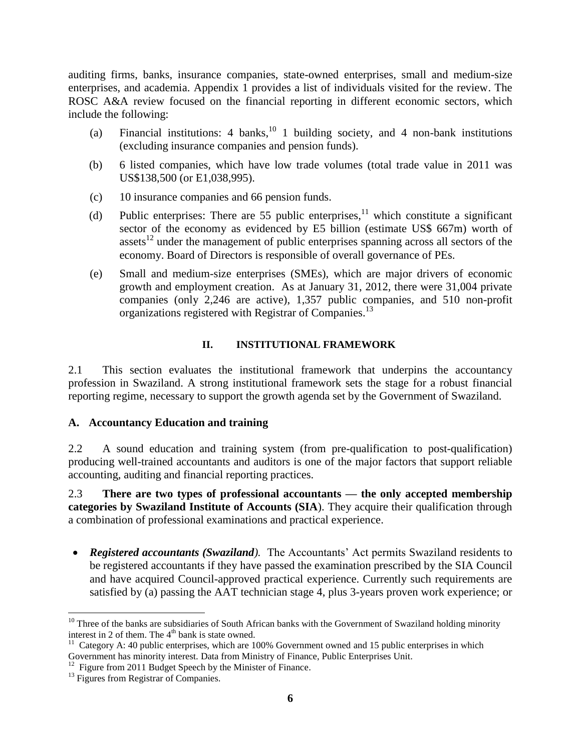auditing firms, banks, insurance companies, state-owned enterprises, small and medium-size enterprises, and academia. Appendix 1 provides a list of individuals visited for the review. The ROSC A&A review focused on the financial reporting in different economic sectors, which include the following:

- (a) Financial institutions: 4 banks,  $^{10}$  1 building society, and 4 non-bank institutions (excluding insurance companies and pension funds).
- (b) 6 listed companies, which have low trade volumes (total trade value in 2011 was US\$138,500 (or E1,038,995).
- (c) 10 insurance companies and 66 pension funds.
- (d) Public enterprises: There are 55 public enterprises, <sup>11</sup> which constitute a significant sector of the economy as evidenced by E5 billion (estimate US\$ 667m) worth of assets $^{12}$  under the management of public enterprises spanning across all sectors of the economy. Board of Directors is responsible of overall governance of PEs.
- (e) Small and medium-size enterprises (SMEs), which are major drivers of economic growth and employment creation. As at January 31, 2012, there were 31,004 private companies (only 2,246 are active), 1,357 public companies, and 510 non-profit organizations registered with Registrar of Companies.<sup>13</sup>

## **II. INSTITUTIONAL FRAMEWORK**

2.1 This section evaluates the institutional framework that underpins the accountancy profession in Swaziland. A strong institutional framework sets the stage for a robust financial reporting regime, necessary to support the growth agenda set by the Government of Swaziland.

## **A. Accountancy Education and training**

2.2 A sound education and training system (from pre-qualification to post-qualification) producing well-trained accountants and auditors is one of the major factors that support reliable accounting, auditing and financial reporting practices.

2.3 **There are two types of professional accountants — the only accepted membership categories by Swaziland Institute of Accounts (SIA**). They acquire their qualification through a combination of professional examinations and practical experience.

 *Registered accountants (Swaziland).* The Accountants' Act permits Swaziland residents to be registered accountants if they have passed the examination prescribed by the SIA Council and have acquired Council-approved practical experience. Currently such requirements are satisfied by (a) passing the AAT technician stage 4, plus 3-years proven work experience; or

 $\overline{a}$  $10$  Three of the banks are subsidiaries of South African banks with the Government of Swaziland holding minority interest in 2 of them. The  $4<sup>th</sup>$  bank is state owned.

 $11$  Category A: 40 public enterprises, which are 100% Government owned and 15 public enterprises in which Government has minority interest. Data from Ministry of Finance, Public Enterprises Unit.<br><sup>12</sup> Figure from 2011 Budget Speech by the Minister of Finance.

<sup>&</sup>lt;sup>13</sup> Figures from Registrar of Companies.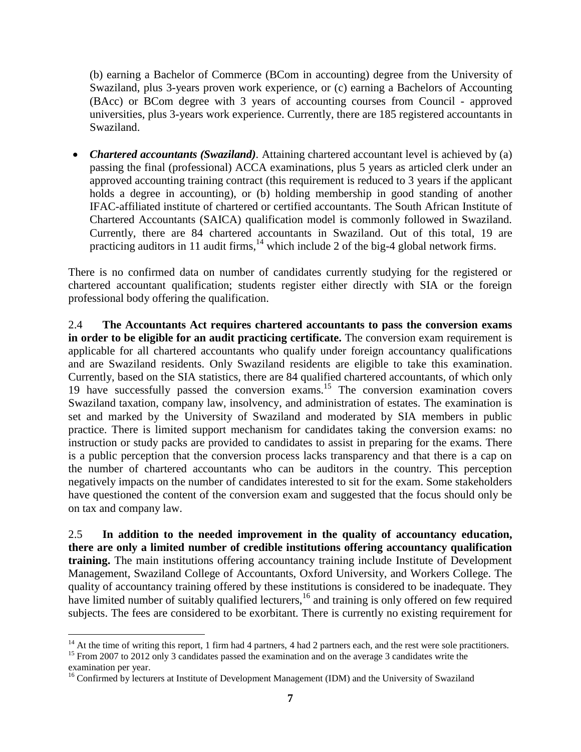(b) earning a Bachelor of Commerce (BCom in accounting) degree from the University of Swaziland, plus 3-years proven work experience, or (c) earning a Bachelors of Accounting (BAcc) or BCom degree with 3 years of accounting courses from Council - approved universities, plus 3-years work experience. Currently, there are 185 registered accountants in Swaziland.

• *Chartered accountants (Swaziland)*. Attaining chartered accountant level is achieved by (a) passing the final (professional) ACCA examinations, plus 5 years as articled clerk under an approved accounting training contract (this requirement is reduced to 3 years if the applicant holds a degree in accounting), or (b) holding membership in good standing of another IFAC-affiliated institute of chartered or certified accountants. The South African Institute of Chartered Accountants (SAICA) qualification model is commonly followed in Swaziland. Currently, there are 84 chartered accountants in Swaziland. Out of this total, 19 are practicing auditors in 11 audit firms,  $14$  which include 2 of the big-4 global network firms.

There is no confirmed data on number of candidates currently studying for the registered or chartered accountant qualification; students register either directly with SIA or the foreign professional body offering the qualification.

2.4 **The Accountants Act requires chartered accountants to pass the conversion exams in order to be eligible for an audit practicing certificate.** The conversion exam requirement is applicable for all chartered accountants who qualify under foreign accountancy qualifications and are Swaziland residents. Only Swaziland residents are eligible to take this examination. Currently, based on the SIA statistics, there are 84 qualified chartered accountants, of which only 19 have successfully passed the conversion exams.<sup>15</sup> The conversion examination covers Swaziland taxation, company law, insolvency, and administration of estates. The examination is set and marked by the University of Swaziland and moderated by SIA members in public practice. There is limited support mechanism for candidates taking the conversion exams: no instruction or study packs are provided to candidates to assist in preparing for the exams. There is a public perception that the conversion process lacks transparency and that there is a cap on the number of chartered accountants who can be auditors in the country. This perception negatively impacts on the number of candidates interested to sit for the exam. Some stakeholders have questioned the content of the conversion exam and suggested that the focus should only be on tax and company law.

2.5 **In addition to the needed improvement in the quality of accountancy education, there are only a limited number of credible institutions offering accountancy qualification training.** The main institutions offering accountancy training include Institute of Development Management, Swaziland College of Accountants, Oxford University, and Workers College. The quality of accountancy training offered by these institutions is considered to be inadequate. They have limited number of suitably qualified lecturers,  $16$  and training is only offered on few required subjects. The fees are considered to be exorbitant. There is currently no existing requirement for

 $14$  At the time of writing this report, 1 firm had 4 partners, 4 had 2 partners each, and the rest were sole practitioners.

<sup>&</sup>lt;sup>15</sup> From 2007 to 2012 only 3 candidates passed the examination and on the average 3 candidates write the examination per year.

<sup>&</sup>lt;sup>16</sup> Confirmed by lecturers at Institute of Development Management (IDM) and the University of Swaziland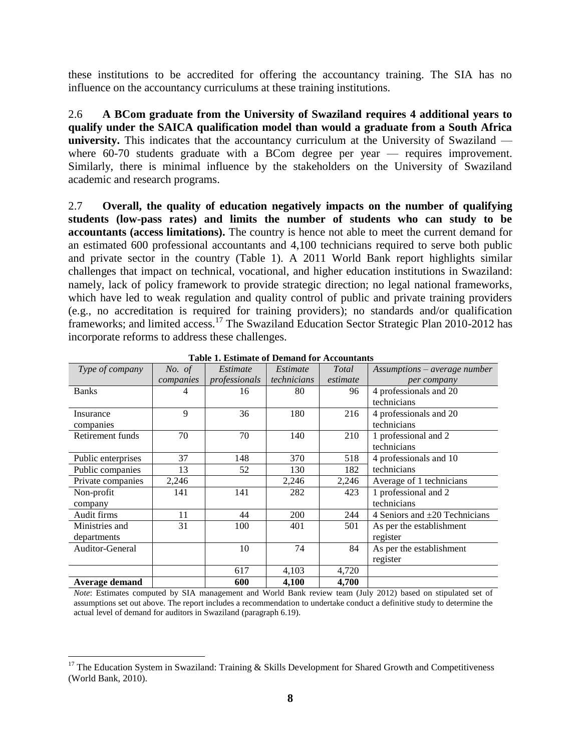these institutions to be accredited for offering the accountancy training. The SIA has no influence on the accountancy curriculums at these training institutions.

2.6 **A BCom graduate from the University of Swaziland requires 4 additional years to qualify under the SAICA qualification model than would a graduate from a South Africa university.** This indicates that the accountancy curriculum at the University of Swaziland where 60-70 students graduate with a BCom degree per year — requires improvement. Similarly, there is minimal influence by the stakeholders on the University of Swaziland academic and research programs.

2.7 **Overall, the quality of education negatively impacts on the number of qualifying students (low-pass rates) and limits the number of students who can study to be accountants (access limitations).** The country is hence not able to meet the current demand for an estimated 600 professional accountants and 4,100 technicians required to serve both public and private sector in the country (Table 1). A 2011 World Bank report highlights similar challenges that impact on technical, vocational, and higher education institutions in Swaziland: namely, lack of policy framework to provide strategic direction; no legal national frameworks, which have led to weak regulation and quality control of public and private training providers (e.g., no accreditation is required for training providers); no standards and/or qualification frameworks; and limited access.<sup>17</sup> The Swaziland Education Sector Strategic Plan 2010-2012 has incorporate reforms to address these challenges.

| Type of company       | <i>No.</i> of | Estimate      | Estimate    | Total    | Assumptions - average number       |
|-----------------------|---------------|---------------|-------------|----------|------------------------------------|
|                       | companies     | professionals | technicians | estimate | per company                        |
| <b>Banks</b>          | 4             | 16            | 80          | 96       | 4 professionals and 20             |
|                       |               |               |             |          | technicians                        |
| Insurance             | 9             | 36            | 180         | 216      | 4 professionals and 20             |
| companies             |               |               |             |          | technicians                        |
| Retirement funds      | 70            | 70            | 140         | 210      | 1 professional and 2               |
|                       |               |               |             |          | technicians                        |
| Public enterprises    | 37            | 148           | 370         | 518      | 4 professionals and 10             |
| Public companies      | 13            | 52            | 130         | 182      | technicians                        |
| Private companies     | 2,246         |               | 2,246       | 2,246    | Average of 1 technicians           |
| Non-profit            | 141           | 141           | 282         | 423      | 1 professional and 2               |
| company               |               |               |             |          | technicians                        |
| Audit firms           | 11            | 44            | 200         | 244      | 4 Seniors and $\pm 20$ Technicians |
| Ministries and        | 31            | 100           | 401         | 501      | As per the establishment           |
| departments           |               |               |             |          | register                           |
| Auditor-General       |               | 10            | 74          | 84       | As per the establishment           |
|                       |               |               |             |          | register                           |
|                       |               | 617           | 4,103       | 4,720    |                                    |
| <b>Average demand</b> |               | 600           | 4,100       | 4,700    |                                    |

**Table 1. Estimate of Demand for Accountants**

*Note*: Estimates computed by SIA management and World Bank review team (July 2012) based on stipulated set of assumptions set out above. The report includes a recommendation to undertake conduct a definitive study to determine the actual level of demand for auditors in Swaziland (paragraph 6.19).

<sup>&</sup>lt;sup>17</sup> The Education System in Swaziland: Training & Skills Development for Shared Growth and Competitiveness (World Bank, 2010).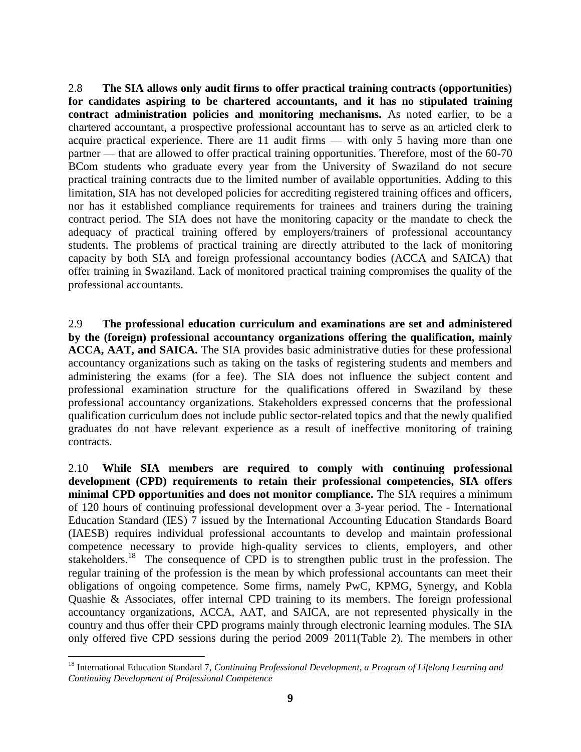2.8 **The SIA allows only audit firms to offer practical training contracts (opportunities) for candidates aspiring to be chartered accountants, and it has no stipulated training contract administration policies and monitoring mechanisms.** As noted earlier, to be a chartered accountant, a prospective professional accountant has to serve as an articled clerk to acquire practical experience. There are 11 audit firms — with only 5 having more than one partner — that are allowed to offer practical training opportunities. Therefore, most of the 60-70 BCom students who graduate every year from the University of Swaziland do not secure practical training contracts due to the limited number of available opportunities. Adding to this limitation, SIA has not developed policies for accrediting registered training offices and officers, nor has it established compliance requirements for trainees and trainers during the training contract period. The SIA does not have the monitoring capacity or the mandate to check the adequacy of practical training offered by employers/trainers of professional accountancy students. The problems of practical training are directly attributed to the lack of monitoring capacity by both SIA and foreign professional accountancy bodies (ACCA and SAICA) that offer training in Swaziland. Lack of monitored practical training compromises the quality of the professional accountants.

2.9 **The professional education curriculum and examinations are set and administered by the (foreign) professional accountancy organizations offering the qualification, mainly ACCA, AAT, and SAICA.** The SIA provides basic administrative duties for these professional accountancy organizations such as taking on the tasks of registering students and members and administering the exams (for a fee). The SIA does not influence the subject content and professional examination structure for the qualifications offered in Swaziland by these professional accountancy organizations. Stakeholders expressed concerns that the professional qualification curriculum does not include public sector-related topics and that the newly qualified graduates do not have relevant experience as a result of ineffective monitoring of training contracts.

2.10 **While SIA members are required to comply with continuing professional development (CPD) requirements to retain their professional competencies, SIA offers minimal CPD opportunities and does not monitor compliance.** The SIA requires a minimum of 120 hours of continuing professional development over a 3-year period. The - International Education Standard (IES) 7 issued by the International Accounting Education Standards Board (IAESB) requires individual professional accountants to develop and maintain professional competence necessary to provide high-quality services to clients, employers, and other stakeholders.<sup>18</sup> The consequence of CPD is to strengthen public trust in the profession. The regular training of the profession is the mean by which professional accountants can meet their obligations of ongoing competence. Some firms, namely PwC, KPMG, Synergy, and Kobla Quashie & Associates, offer internal CPD training to its members. The foreign professional accountancy organizations, ACCA, AAT, and SAICA, are not represented physically in the country and thus offer their CPD programs mainly through electronic learning modules. The SIA only offered five CPD sessions during the period 2009–2011(Table 2). The members in other

<sup>18</sup> International Education Standard 7, *Continuing Professional Development, a Program of Lifelong Learning and Continuing Development of Professional Competence*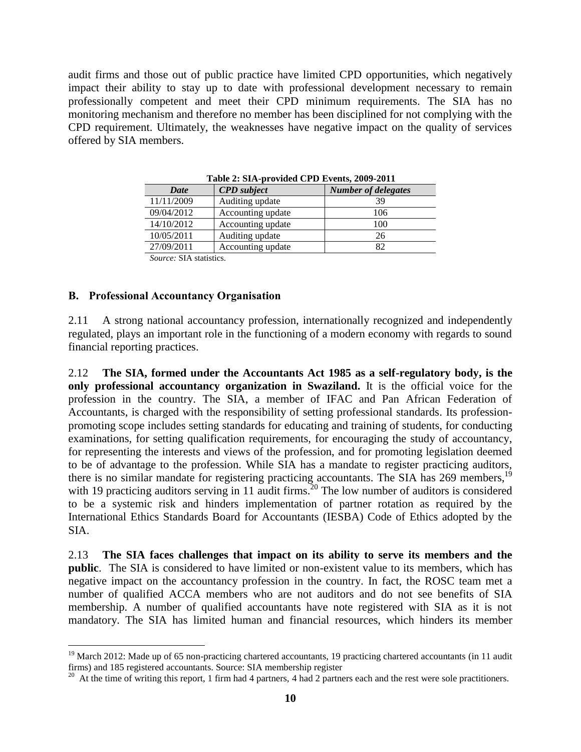audit firms and those out of public practice have limited CPD opportunities, which negatively impact their ability to stay up to date with professional development necessary to remain professionally competent and meet their CPD minimum requirements. The SIA has no monitoring mechanism and therefore no member has been disciplined for not complying with the CPD requirement. Ultimately, the weaknesses have negative impact on the quality of services offered by SIA members.

| Table 2: SIA-provided CPD Events, 2009-2011 |                    |                            |  |  |  |
|---------------------------------------------|--------------------|----------------------------|--|--|--|
| Date                                        | <b>CPD</b> subject | <b>Number of delegates</b> |  |  |  |
| 11/11/2009                                  | Auditing update    | 39                         |  |  |  |
| 09/04/2012                                  | Accounting update  | 106                        |  |  |  |
| 14/10/2012                                  | Accounting update  | 100                        |  |  |  |
| 10/05/2011                                  | Auditing update    | 26                         |  |  |  |
| 27/09/2011                                  | Accounting update  | 82                         |  |  |  |
|                                             |                    |                            |  |  |  |

**Table 2: SIA-provided CPD Events, 2009-2011**

*Source:* SIA statistics.

#### **B. Professional Accountancy Organisation**

 $\overline{a}$ 

2.11 A strong national accountancy profession, internationally recognized and independently regulated, plays an important role in the functioning of a modern economy with regards to sound financial reporting practices.

2.12 **The SIA, formed under the Accountants Act 1985 as a self-regulatory body, is the only professional accountancy organization in Swaziland.** It is the official voice for the profession in the country. The SIA, a member of IFAC and Pan African Federation of Accountants, is charged with the responsibility of setting professional standards. Its professionpromoting scope includes setting standards for educating and training of students, for conducting examinations, for setting qualification requirements, for encouraging the study of accountancy, for representing the interests and views of the profession, and for promoting legislation deemed to be of advantage to the profession. While SIA has a mandate to register practicing auditors, there is no similar mandate for registering practicing accountants. The SIA has 269 members, 19 with 19 practicing auditors serving in 11 audit firms.<sup>20</sup> The low number of auditors is considered to be a systemic risk and hinders implementation of partner rotation as required by the International Ethics Standards Board for Accountants (IESBA) Code of Ethics adopted by the SIA.

2.13 **The SIA faces challenges that impact on its ability to serve its members and the public**. The SIA is considered to have limited or non-existent value to its members, which has negative impact on the accountancy profession in the country. In fact, the ROSC team met a number of qualified ACCA members who are not auditors and do not see benefits of SIA membership. A number of qualified accountants have note registered with SIA as it is not mandatory. The SIA has limited human and financial resources, which hinders its member

 $19$  March 2012: Made up of 65 non-practicing chartered accountants, 19 practicing chartered accountants (in 11 audit firms) and 185 registered accountants. Source: SIA membership register

 $^{20}$  At the time of writing this report, 1 firm had 4 partners, 4 had 2 partners each and the rest were sole practitioners.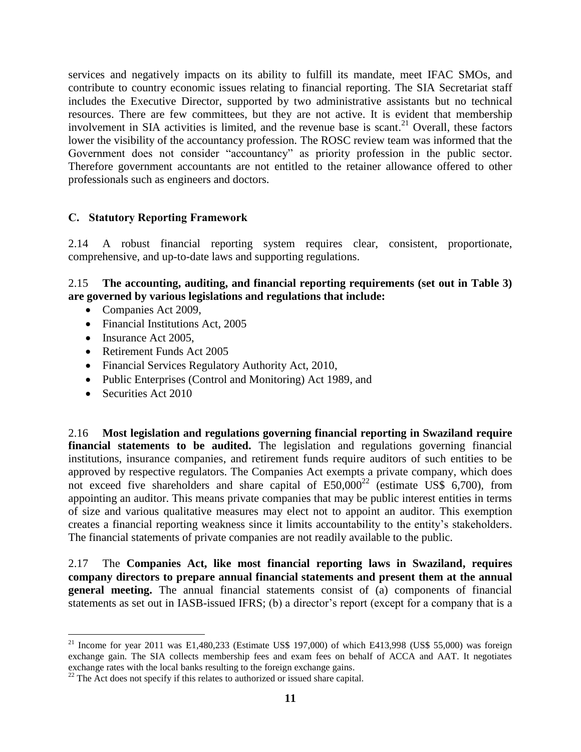services and negatively impacts on its ability to fulfill its mandate, meet IFAC SMOs, and contribute to country economic issues relating to financial reporting. The SIA Secretariat staff includes the Executive Director, supported by two administrative assistants but no technical resources. There are few committees, but they are not active. It is evident that membership involvement in SIA activities is limited, and the revenue base is scant.<sup>21</sup> Overall, these factors lower the visibility of the accountancy profession. The ROSC review team was informed that the Government does not consider "accountancy" as priority profession in the public sector. Therefore government accountants are not entitled to the retainer allowance offered to other professionals such as engineers and doctors.

## **C. Statutory Reporting Framework**

2.14 A robust financial reporting system requires clear, consistent, proportionate, comprehensive, and up-to-date laws and supporting regulations.

#### 2.15 **The accounting, auditing, and financial reporting requirements (set out in Table 3) are governed by various legislations and regulations that include:**

- Companies Act 2009,
- Financial Institutions Act, 2005
- Insurance Act 2005,
- Retirement Funds Act 2005
- Financial Services Regulatory Authority Act, 2010,
- Public Enterprises (Control and Monitoring) Act 1989, and
- Securities Act 2010

 $\overline{a}$ 

2.16 **Most legislation and regulations governing financial reporting in Swaziland require financial statements to be audited.** The legislation and regulations governing financial institutions, insurance companies, and retirement funds require auditors of such entities to be approved by respective regulators. The Companies Act exempts a private company, which does not exceed five shareholders and share capital of  $E50,000^{22}$  (estimate US\$ 6,700), from appointing an auditor. This means private companies that may be public interest entities in terms of size and various qualitative measures may elect not to appoint an auditor. This exemption creates a financial reporting weakness since it limits accountability to the entity's stakeholders. The financial statements of private companies are not readily available to the public.

2.17 The **Companies Act, like most financial reporting laws in Swaziland, requires company directors to prepare annual financial statements and present them at the annual general meeting.** The annual financial statements consist of (a) components of financial statements as set out in IASB-issued IFRS; (b) a director's report (except for a company that is a

<sup>&</sup>lt;sup>21</sup> Income for year 2011 was E1,480,233 (Estimate US\$ 197,000) of which E413,998 (US\$ 55,000) was foreign exchange gain. The SIA collects membership fees and exam fees on behalf of ACCA and AAT. It negotiates exchange rates with the local banks resulting to the foreign exchange gains.

 $22$  The Act does not specify if this relates to authorized or issued share capital.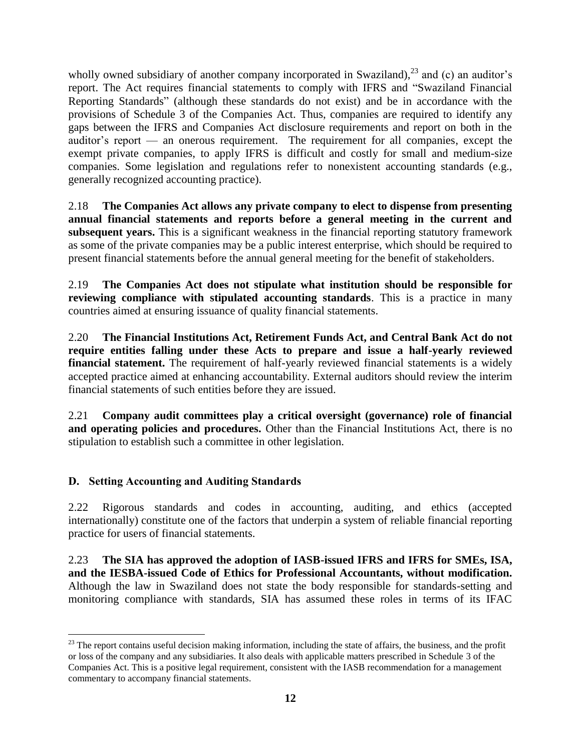wholly owned subsidiary of another company incorporated in Swaziland), $^{23}$  and (c) an auditor's report. The Act requires financial statements to comply with IFRS and "Swaziland Financial Reporting Standards" (although these standards do not exist) and be in accordance with the provisions of Schedule 3 of the Companies Act. Thus, companies are required to identify any gaps between the IFRS and Companies Act disclosure requirements and report on both in the auditor's report — an onerous requirement. The requirement for all companies, except the exempt private companies, to apply IFRS is difficult and costly for small and medium-size companies. Some legislation and regulations refer to nonexistent accounting standards (e.g., generally recognized accounting practice).

2.18 **The Companies Act allows any private company to elect to dispense from presenting annual financial statements and reports before a general meeting in the current and subsequent years.** This is a significant weakness in the financial reporting statutory framework as some of the private companies may be a public interest enterprise, which should be required to present financial statements before the annual general meeting for the benefit of stakeholders.

2.19 **The Companies Act does not stipulate what institution should be responsible for reviewing compliance with stipulated accounting standards**. This is a practice in many countries aimed at ensuring issuance of quality financial statements.

2.20 **The Financial Institutions Act, Retirement Funds Act, and Central Bank Act do not require entities falling under these Acts to prepare and issue a half-yearly reviewed financial statement.** The requirement of half-yearly reviewed financial statements is a widely accepted practice aimed at enhancing accountability. External auditors should review the interim financial statements of such entities before they are issued.

2.21 **Company audit committees play a critical oversight (governance) role of financial and operating policies and procedures.** Other than the Financial Institutions Act, there is no stipulation to establish such a committee in other legislation.

## **D. Setting Accounting and Auditing Standards**

2.22 Rigorous standards and codes in accounting, auditing, and ethics (accepted internationally) constitute one of the factors that underpin a system of reliable financial reporting practice for users of financial statements.

2.23 **The SIA has approved the adoption of IASB-issued IFRS and IFRS for SMEs, ISA, and the IESBA-issued Code of Ethics for Professional Accountants, without modification.** Although the law in Swaziland does not state the body responsible for standards-setting and monitoring compliance with standards, SIA has assumed these roles in terms of its IFAC

 $\overline{a}$  $^{23}$  The report contains useful decision making information, including the state of affairs, the business, and the profit or loss of the company and any subsidiaries. It also deals with applicable matters prescribed in Schedule 3 of the Companies Act. This is a positive legal requirement, consistent with the IASB recommendation for a management commentary to accompany financial statements.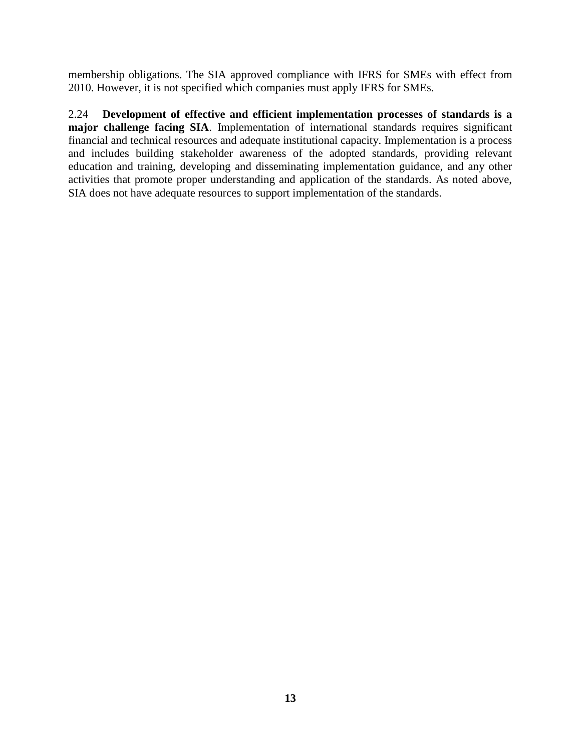membership obligations. The SIA approved compliance with IFRS for SMEs with effect from 2010. However, it is not specified which companies must apply IFRS for SMEs.

2.24 **Development of effective and efficient implementation processes of standards is a major challenge facing SIA**. Implementation of international standards requires significant financial and technical resources and adequate institutional capacity. Implementation is a process and includes building stakeholder awareness of the adopted standards, providing relevant education and training, developing and disseminating implementation guidance, and any other activities that promote proper understanding and application of the standards. As noted above, SIA does not have adequate resources to support implementation of the standards.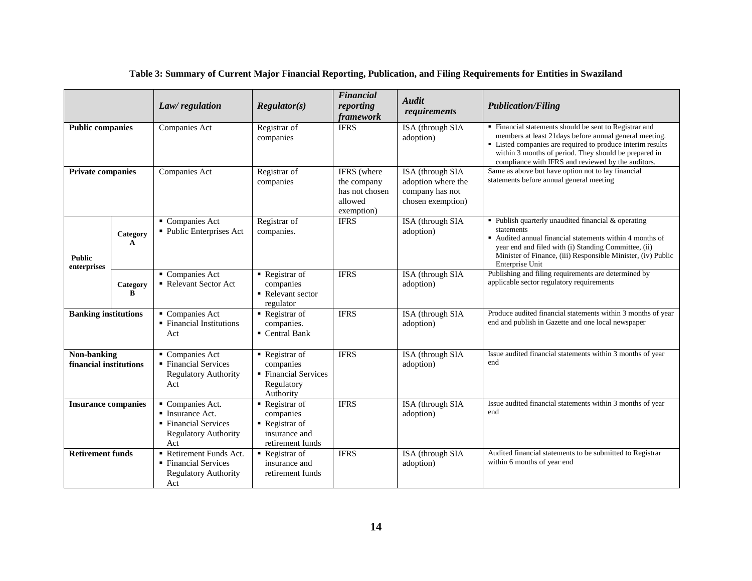|                                       |                          | Law/regulation                                                                                   | Regularor(s)                                                                   | <b>Financial</b><br>reporting<br>framework                            | Audit<br>requirements                                                          | <b>Publication/Filing</b>                                                                                                                                                                                                                                                                      |
|---------------------------------------|--------------------------|--------------------------------------------------------------------------------------------------|--------------------------------------------------------------------------------|-----------------------------------------------------------------------|--------------------------------------------------------------------------------|------------------------------------------------------------------------------------------------------------------------------------------------------------------------------------------------------------------------------------------------------------------------------------------------|
| <b>Public companies</b>               |                          | Companies Act                                                                                    | Registrar of<br>companies                                                      | <b>IFRS</b>                                                           | ISA (through SIA<br>adoption)                                                  | " Financial statements should be sent to Registrar and<br>members at least 21 days before annual general meeting.<br>• Listed companies are required to produce interim results<br>within 3 months of period. They should be prepared in<br>compliance with IFRS and reviewed by the auditors. |
| <b>Private companies</b>              |                          | Companies Act                                                                                    | Registrar of<br>companies                                                      | IFRS (where<br>the company<br>has not chosen<br>allowed<br>exemption) | ISA (through SIA<br>adoption where the<br>company has not<br>chosen exemption) | Same as above but have option not to lay financial<br>statements before annual general meeting                                                                                                                                                                                                 |
| <b>Public</b><br>enterprises          | Category<br>$\mathbf{A}$ | Companies Act<br>• Public Enterprises Act                                                        | Registrar of<br>companies.                                                     | <b>IFRS</b>                                                           | ISA (through SIA<br>adoption)                                                  | $\blacksquare$ Publish quarterly unaudited financial & operating<br>statements<br>• Audited annual financial statements within 4 months of<br>year end and filed with (i) Standing Committee, (ii)<br>Minister of Finance, (iii) Responsible Minister, (iv) Public<br>Enterprise Unit          |
|                                       | Category<br>R            | Companies Act<br>Relevant Sector Act                                                             | Registrar of<br>companies<br>Relevant sector<br>regulator                      | <b>IFRS</b>                                                           | ISA (through SIA<br>adoption)                                                  | Publishing and filing requirements are determined by<br>applicable sector regulatory requirements                                                                                                                                                                                              |
| <b>Banking institutions</b>           |                          | Companies Act<br>• Financial Institutions<br>Act                                                 | $\blacksquare$ Registrar of<br>companies.<br>• Central Bank                    | <b>IFRS</b>                                                           | ISA (through SIA<br>adoption)                                                  | Produce audited financial statements within 3 months of year<br>end and publish in Gazette and one local newspaper                                                                                                                                                                             |
| Non-banking<br>financial institutions |                          | Companies Act<br>• Financial Services<br><b>Regulatory Authority</b><br>Act                      | Registrar of<br>companies<br>• Financial Services<br>Regulatory<br>Authority   | <b>IFRS</b>                                                           | ISA (through SIA<br>adoption)                                                  | Issue audited financial statements within 3 months of year<br>end                                                                                                                                                                                                                              |
| <b>Insurance companies</b>            |                          | Companies Act.<br>• Insurance Act.<br>• Financial Services<br><b>Regulatory Authority</b><br>Act | Registrar of<br>companies<br>Registrar of<br>insurance and<br>retirement funds | <b>IFRS</b>                                                           | ISA (through SIA<br>adoption)                                                  | Issue audited financial statements within 3 months of year<br>end                                                                                                                                                                                                                              |
| <b>Retirement funds</b>               |                          | Retirement Funds Act.<br>• Financial Services<br><b>Regulatory Authority</b><br>Act              | Registrar of<br>insurance and<br>retirement funds                              | <b>IFRS</b>                                                           | ISA (through SIA<br>adoption)                                                  | Audited financial statements to be submitted to Registrar<br>within 6 months of year end                                                                                                                                                                                                       |

#### **Table 3: Summary of Current Major Financial Reporting, Publication, and Filing Requirements for Entities in Swaziland**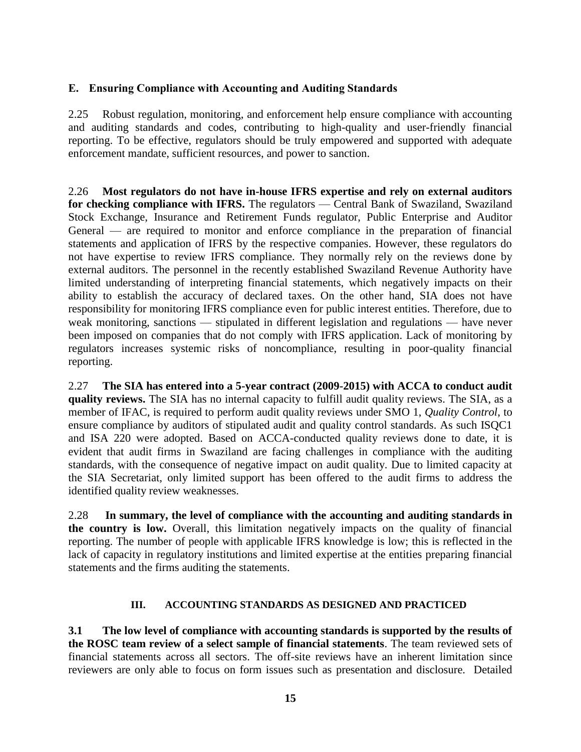#### **E. Ensuring Compliance with Accounting and Auditing Standards**

2.25 Robust regulation, monitoring, and enforcement help ensure compliance with accounting and auditing standards and codes, contributing to high-quality and user-friendly financial reporting. To be effective, regulators should be truly empowered and supported with adequate enforcement mandate, sufficient resources, and power to sanction.

2.26 **Most regulators do not have in-house IFRS expertise and rely on external auditors for checking compliance with IFRS.** The regulators — Central Bank of Swaziland, Swaziland Stock Exchange, Insurance and Retirement Funds regulator, Public Enterprise and Auditor General — are required to monitor and enforce compliance in the preparation of financial statements and application of IFRS by the respective companies. However, these regulators do not have expertise to review IFRS compliance. They normally rely on the reviews done by external auditors. The personnel in the recently established Swaziland Revenue Authority have limited understanding of interpreting financial statements, which negatively impacts on their ability to establish the accuracy of declared taxes. On the other hand, SIA does not have responsibility for monitoring IFRS compliance even for public interest entities. Therefore, due to weak monitoring, sanctions — stipulated in different legislation and regulations — have never been imposed on companies that do not comply with IFRS application. Lack of monitoring by regulators increases systemic risks of noncompliance, resulting in poor-quality financial reporting.

2.27 **The SIA has entered into a 5-year contract (2009-2015) with ACCA to conduct audit quality reviews.** The SIA has no internal capacity to fulfill audit quality reviews. The SIA, as a member of IFAC, is required to perform audit quality reviews under SMO 1, *Quality Control*, to ensure compliance by auditors of stipulated audit and quality control standards. As such ISQC1 and ISA 220 were adopted. Based on ACCA-conducted quality reviews done to date, it is evident that audit firms in Swaziland are facing challenges in compliance with the auditing standards, with the consequence of negative impact on audit quality. Due to limited capacity at the SIA Secretariat, only limited support has been offered to the audit firms to address the identified quality review weaknesses.

2.28 **In summary, the level of compliance with the accounting and auditing standards in the country is low.** Overall, this limitation negatively impacts on the quality of financial reporting. The number of people with applicable IFRS knowledge is low; this is reflected in the lack of capacity in regulatory institutions and limited expertise at the entities preparing financial statements and the firms auditing the statements.

## **III. ACCOUNTING STANDARDS AS DESIGNED AND PRACTICED**

**3.1 The low level of compliance with accounting standards is supported by the results of the ROSC team review of a select sample of financial statements**. The team reviewed sets of financial statements across all sectors. The off-site reviews have an inherent limitation since reviewers are only able to focus on form issues such as presentation and disclosure. Detailed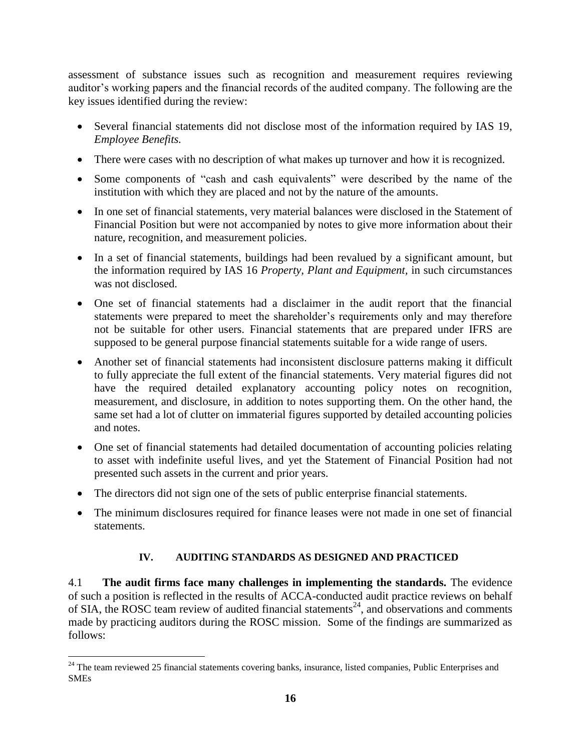assessment of substance issues such as recognition and measurement requires reviewing auditor's working papers and the financial records of the audited company. The following are the key issues identified during the review:

- Several financial statements did not disclose most of the information required by IAS 19, *Employee Benefits.*
- There were cases with no description of what makes up turnover and how it is recognized.
- Some components of "cash and cash equivalents" were described by the name of the institution with which they are placed and not by the nature of the amounts.
- In one set of financial statements, very material balances were disclosed in the Statement of Financial Position but were not accompanied by notes to give more information about their nature, recognition, and measurement policies.
- In a set of financial statements, buildings had been revalued by a significant amount, but the information required by IAS 16 *Property, Plant and Equipment,* in such circumstances was not disclosed.
- One set of financial statements had a disclaimer in the audit report that the financial statements were prepared to meet the shareholder's requirements only and may therefore not be suitable for other users. Financial statements that are prepared under IFRS are supposed to be general purpose financial statements suitable for a wide range of users.
- Another set of financial statements had inconsistent disclosure patterns making it difficult to fully appreciate the full extent of the financial statements. Very material figures did not have the required detailed explanatory accounting policy notes on recognition, measurement, and disclosure, in addition to notes supporting them. On the other hand, the same set had a lot of clutter on immaterial figures supported by detailed accounting policies and notes.
- One set of financial statements had detailed documentation of accounting policies relating to asset with indefinite useful lives, and yet the Statement of Financial Position had not presented such assets in the current and prior years.
- The directors did not sign one of the sets of public enterprise financial statements.
- The minimum disclosures required for finance leases were not made in one set of financial statements.

## **IV. AUDITING STANDARDS AS DESIGNED AND PRACTICED**

4.1 **The audit firms face many challenges in implementing the standards.** The evidence of such a position is reflected in the results of ACCA-conducted audit practice reviews on behalf of SIA, the ROSC team review of audited financial statements<sup>24</sup>, and observations and comments made by practicing auditors during the ROSC mission. Some of the findings are summarized as follows:

 $\overline{a}$  $24$  The team reviewed 25 financial statements covering banks, insurance, listed companies, Public Enterprises and SMEs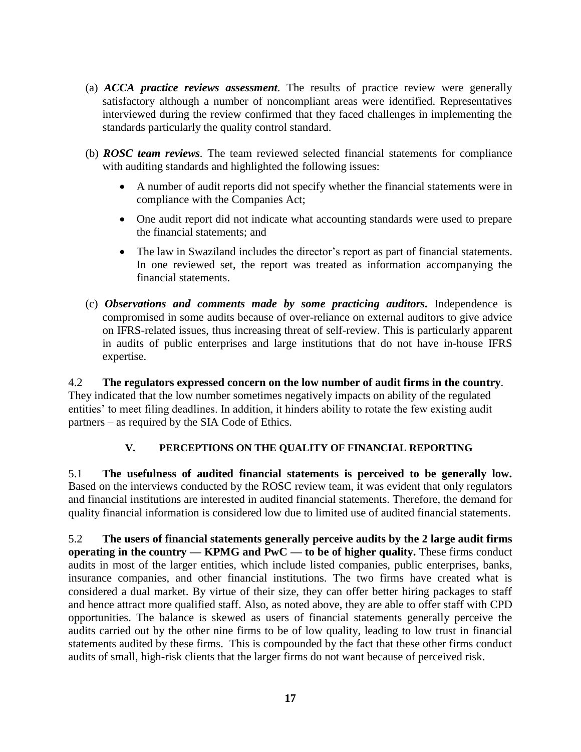- (a) *ACCA practice reviews assessment*. The results of practice review were generally satisfactory although a number of noncompliant areas were identified. Representatives interviewed during the review confirmed that they faced challenges in implementing the standards particularly the quality control standard.
- (b) *ROSC team reviews.* The team reviewed selected financial statements for compliance with auditing standards and highlighted the following issues:
	- A number of audit reports did not specify whether the financial statements were in compliance with the Companies Act;
	- One audit report did not indicate what accounting standards were used to prepare the financial statements; and
	- The law in Swaziland includes the director's report as part of financial statements. In one reviewed set, the report was treated as information accompanying the financial statements.
- (c) *Observations and comments made by some practicing auditors.* Independence is compromised in some audits because of over-reliance on external auditors to give advice on IFRS-related issues, thus increasing threat of self-review. This is particularly apparent in audits of public enterprises and large institutions that do not have in-house IFRS expertise.

4.2 **The regulators expressed concern on the low number of audit firms in the country**. They indicated that the low number sometimes negatively impacts on ability of the regulated entities' to meet filing deadlines. In addition, it hinders ability to rotate the few existing audit partners – as required by the SIA Code of Ethics.

## **V. PERCEPTIONS ON THE QUALITY OF FINANCIAL REPORTING**

5.1 **The usefulness of audited financial statements is perceived to be generally low.**  Based on the interviews conducted by the ROSC review team, it was evident that only regulators and financial institutions are interested in audited financial statements. Therefore, the demand for quality financial information is considered low due to limited use of audited financial statements.

5.2 **The users of financial statements generally perceive audits by the 2 large audit firms operating in the country — KPMG and PwC — to be of higher quality.** These firms conduct audits in most of the larger entities, which include listed companies, public enterprises, banks, insurance companies, and other financial institutions. The two firms have created what is considered a dual market. By virtue of their size, they can offer better hiring packages to staff and hence attract more qualified staff. Also, as noted above, they are able to offer staff with CPD opportunities. The balance is skewed as users of financial statements generally perceive the audits carried out by the other nine firms to be of low quality, leading to low trust in financial statements audited by these firms. This is compounded by the fact that these other firms conduct audits of small, high-risk clients that the larger firms do not want because of perceived risk.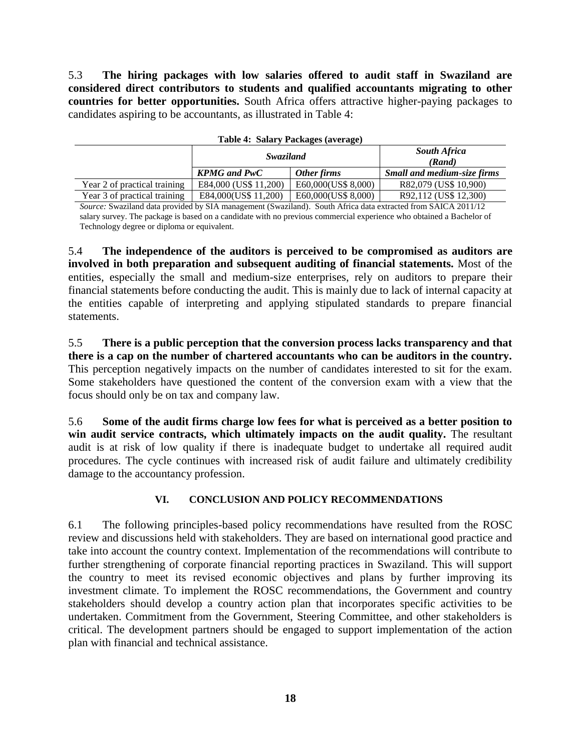5.3 **The hiring packages with low salaries offered to audit staff in Swaziland are considered direct contributors to students and qualified accountants migrating to other countries for better opportunities.** South Africa offers attractive higher-paying packages to candidates aspiring to be accountants, as illustrated in Table 4:

|                              | Swaziland             | <b>South Africa</b><br>(Rand) |                                    |
|------------------------------|-----------------------|-------------------------------|------------------------------------|
|                              | <b>KPMG</b> and PwC   | Other firms                   | <b>Small and medium-size firms</b> |
| Year 2 of practical training | E84,000 (US\$ 11,200) | E60,000(US\$ 8,000)           | R82,079 (US\$ 10,900)              |
| Year 3 of practical training | E84,000(US\$ 11,200)  | E60,000(US\$ 8,000)           | R92,112 (US\$ 12,300)              |

|  | Table 4: Salary Packages (average) |  |
|--|------------------------------------|--|
|  |                                    |  |

*Source:* Swaziland data provided by SIA management (Swaziland). South Africa data extracted from SAICA 2011/12 salary survey. The package is based on a candidate with no previous commercial experience who obtained a Bachelor of Technology degree or diploma or equivalent.

5.4 **The independence of the auditors is perceived to be compromised as auditors are involved in both preparation and subsequent auditing of financial statements.** Most of the entities, especially the small and medium-size enterprises, rely on auditors to prepare their financial statements before conducting the audit. This is mainly due to lack of internal capacity at the entities capable of interpreting and applying stipulated standards to prepare financial statements.

5.5 **There is a public perception that the conversion process lacks transparency and that there is a cap on the number of chartered accountants who can be auditors in the country.**  This perception negatively impacts on the number of candidates interested to sit for the exam. Some stakeholders have questioned the content of the conversion exam with a view that the focus should only be on tax and company law.

5.6 **Some of the audit firms charge low fees for what is perceived as a better position to win audit service contracts, which ultimately impacts on the audit quality.** The resultant audit is at risk of low quality if there is inadequate budget to undertake all required audit procedures. The cycle continues with increased risk of audit failure and ultimately credibility damage to the accountancy profession.

## **VI. CONCLUSION AND POLICY RECOMMENDATIONS**

6.1 The following principles-based policy recommendations have resulted from the ROSC review and discussions held with stakeholders. They are based on international good practice and take into account the country context. Implementation of the recommendations will contribute to further strengthening of corporate financial reporting practices in Swaziland. This will support the country to meet its revised economic objectives and plans by further improving its investment climate. To implement the ROSC recommendations, the Government and country stakeholders should develop a country action plan that incorporates specific activities to be undertaken. Commitment from the Government, Steering Committee, and other stakeholders is critical. The development partners should be engaged to support implementation of the action plan with financial and technical assistance.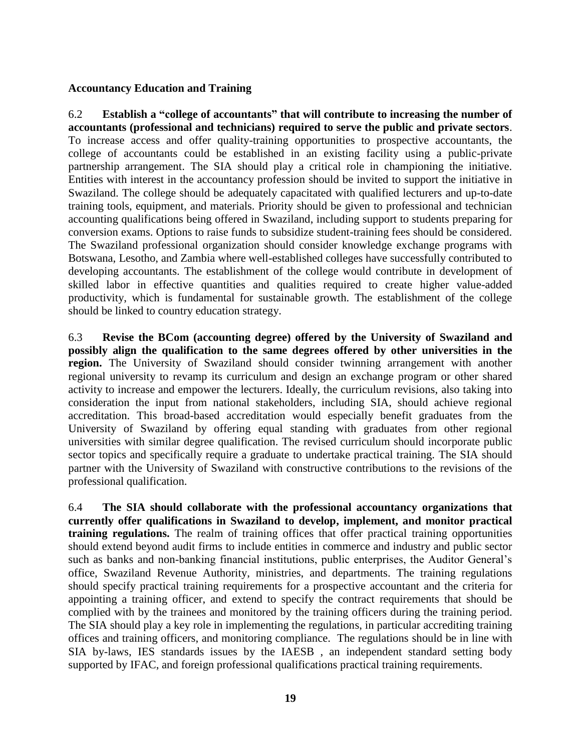#### **Accountancy Education and Training**

6.2 **Establish a "college of accountants" that will contribute to increasing the number of accountants (professional and technicians) required to serve the public and private sectors**. To increase access and offer quality-training opportunities to prospective accountants, the college of accountants could be established in an existing facility using a public-private partnership arrangement. The SIA should play a critical role in championing the initiative. Entities with interest in the accountancy profession should be invited to support the initiative in Swaziland. The college should be adequately capacitated with qualified lecturers and up-to-date training tools, equipment, and materials. Priority should be given to professional and technician accounting qualifications being offered in Swaziland, including support to students preparing for conversion exams. Options to raise funds to subsidize student-training fees should be considered. The Swaziland professional organization should consider knowledge exchange programs with Botswana, Lesotho, and Zambia where well-established colleges have successfully contributed to developing accountants. The establishment of the college would contribute in development of skilled labor in effective quantities and qualities required to create higher value-added productivity, which is fundamental for sustainable growth. The establishment of the college should be linked to country education strategy.

6.3 **Revise the BCom (accounting degree) offered by the University of Swaziland and possibly align the qualification to the same degrees offered by other universities in the region.** The University of Swaziland should consider twinning arrangement with another regional university to revamp its curriculum and design an exchange program or other shared activity to increase and empower the lecturers. Ideally, the curriculum revisions, also taking into consideration the input from national stakeholders, including SIA, should achieve regional accreditation. This broad-based accreditation would especially benefit graduates from the University of Swaziland by offering equal standing with graduates from other regional universities with similar degree qualification. The revised curriculum should incorporate public sector topics and specifically require a graduate to undertake practical training. The SIA should partner with the University of Swaziland with constructive contributions to the revisions of the professional qualification.

6.4 **The SIA should collaborate with the professional accountancy organizations that currently offer qualifications in Swaziland to develop, implement, and monitor practical training regulations.** The realm of training offices that offer practical training opportunities should extend beyond audit firms to include entities in commerce and industry and public sector such as banks and non-banking financial institutions, public enterprises, the Auditor General's office, Swaziland Revenue Authority, ministries, and departments. The training regulations should specify practical training requirements for a prospective accountant and the criteria for appointing a training officer, and extend to specify the contract requirements that should be complied with by the trainees and monitored by the training officers during the training period. The SIA should play a key role in implementing the regulations, in particular accrediting training offices and training officers, and monitoring compliance. The regulations should be in line with SIA by-laws, IES standards issues by the IAESB , an independent standard setting body supported by IFAC, and foreign professional qualifications practical training requirements.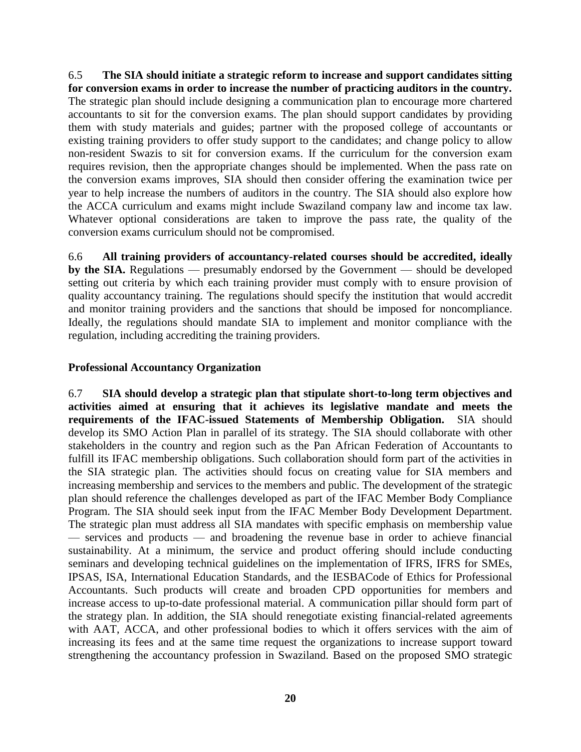6.5 **The SIA should initiate a strategic reform to increase and support candidates sitting for conversion exams in order to increase the number of practicing auditors in the country.**  The strategic plan should include designing a communication plan to encourage more chartered accountants to sit for the conversion exams. The plan should support candidates by providing them with study materials and guides; partner with the proposed college of accountants or existing training providers to offer study support to the candidates; and change policy to allow non-resident Swazis to sit for conversion exams. If the curriculum for the conversion exam requires revision, then the appropriate changes should be implemented. When the pass rate on the conversion exams improves, SIA should then consider offering the examination twice per year to help increase the numbers of auditors in the country. The SIA should also explore how the ACCA curriculum and exams might include Swaziland company law and income tax law. Whatever optional considerations are taken to improve the pass rate, the quality of the conversion exams curriculum should not be compromised.

6.6 **All training providers of accountancy-related courses should be accredited, ideally by the SIA.** Regulations — presumably endorsed by the Government — should be developed setting out criteria by which each training provider must comply with to ensure provision of quality accountancy training. The regulations should specify the institution that would accredit and monitor training providers and the sanctions that should be imposed for noncompliance. Ideally, the regulations should mandate SIA to implement and monitor compliance with the regulation, including accrediting the training providers.

#### **Professional Accountancy Organization**

6.7 **SIA should develop a strategic plan that stipulate short-to-long term objectives and activities aimed at ensuring that it achieves its legislative mandate and meets the requirements of the IFAC-issued Statements of Membership Obligation.** SIA should develop its SMO Action Plan in parallel of its strategy. The SIA should collaborate with other stakeholders in the country and region such as the Pan African Federation of Accountants to fulfill its IFAC membership obligations. Such collaboration should form part of the activities in the SIA strategic plan. The activities should focus on creating value for SIA members and increasing membership and services to the members and public. The development of the strategic plan should reference the challenges developed as part of the IFAC Member Body Compliance Program. The SIA should seek input from the IFAC Member Body Development Department. The strategic plan must address all SIA mandates with specific emphasis on membership value — services and products — and broadening the revenue base in order to achieve financial sustainability. At a minimum, the service and product offering should include conducting seminars and developing technical guidelines on the implementation of IFRS, IFRS for SMEs, IPSAS, ISA, International Education Standards, and the IESBACode of Ethics for Professional Accountants. Such products will create and broaden CPD opportunities for members and increase access to up-to-date professional material. A communication pillar should form part of the strategy plan. In addition, the SIA should renegotiate existing financial-related agreements with AAT, ACCA, and other professional bodies to which it offers services with the aim of increasing its fees and at the same time request the organizations to increase support toward strengthening the accountancy profession in Swaziland. Based on the proposed SMO strategic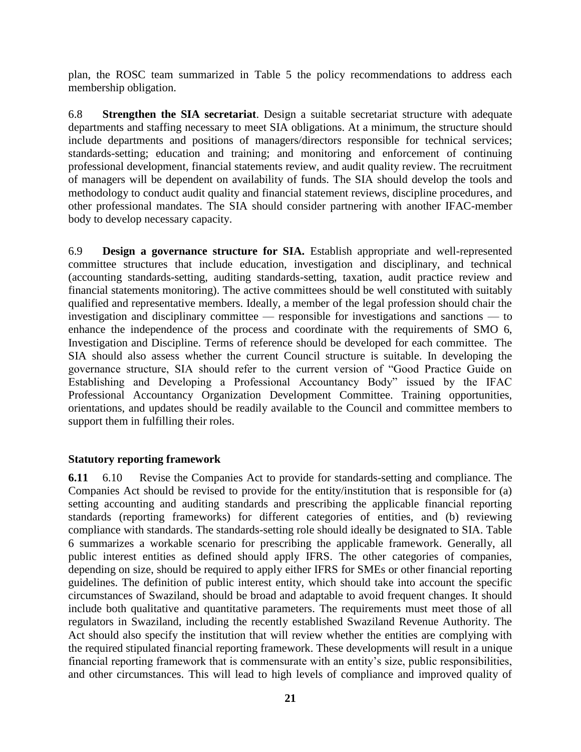plan, the ROSC team summarized in Table 5 the policy recommendations to address each membership obligation.

6.8 **Strengthen the SIA secretariat**. Design a suitable secretariat structure with adequate departments and staffing necessary to meet SIA obligations. At a minimum, the structure should include departments and positions of managers/directors responsible for technical services; standards-setting; education and training; and monitoring and enforcement of continuing professional development, financial statements review, and audit quality review. The recruitment of managers will be dependent on availability of funds. The SIA should develop the tools and methodology to conduct audit quality and financial statement reviews, discipline procedures, and other professional mandates. The SIA should consider partnering with another IFAC-member body to develop necessary capacity.

6.9 **Design a governance structure for SIA.** Establish appropriate and well-represented committee structures that include education, investigation and disciplinary, and technical (accounting standards-setting, auditing standards-setting, taxation, audit practice review and financial statements monitoring). The active committees should be well constituted with suitably qualified and representative members. Ideally, a member of the legal profession should chair the investigation and disciplinary committee — responsible for investigations and sanctions — to enhance the independence of the process and coordinate with the requirements of SMO 6, Investigation and Discipline. Terms of reference should be developed for each committee. The SIA should also assess whether the current Council structure is suitable. In developing the governance structure, SIA should refer to the current version of "Good Practice Guide on Establishing and Developing a Professional Accountancy Body" issued by the IFAC Professional Accountancy Organization Development Committee. Training opportunities, orientations, and updates should be readily available to the Council and committee members to support them in fulfilling their roles.

#### **Statutory reporting framework**

**6.11** 6.10 Revise the Companies Act to provide for standards-setting and compliance. The Companies Act should be revised to provide for the entity/institution that is responsible for (a) setting accounting and auditing standards and prescribing the applicable financial reporting standards (reporting frameworks) for different categories of entities, and (b) reviewing compliance with standards. The standards-setting role should ideally be designated to SIA. Table 6 summarizes a workable scenario for prescribing the applicable framework. Generally, all public interest entities as defined should apply IFRS. The other categories of companies, depending on size, should be required to apply either IFRS for SMEs or other financial reporting guidelines. The definition of public interest entity, which should take into account the specific circumstances of Swaziland, should be broad and adaptable to avoid frequent changes. It should include both qualitative and quantitative parameters. The requirements must meet those of all regulators in Swaziland, including the recently established Swaziland Revenue Authority. The Act should also specify the institution that will review whether the entities are complying with the required stipulated financial reporting framework. These developments will result in a unique financial reporting framework that is commensurate with an entity's size, public responsibilities, and other circumstances. This will lead to high levels of compliance and improved quality of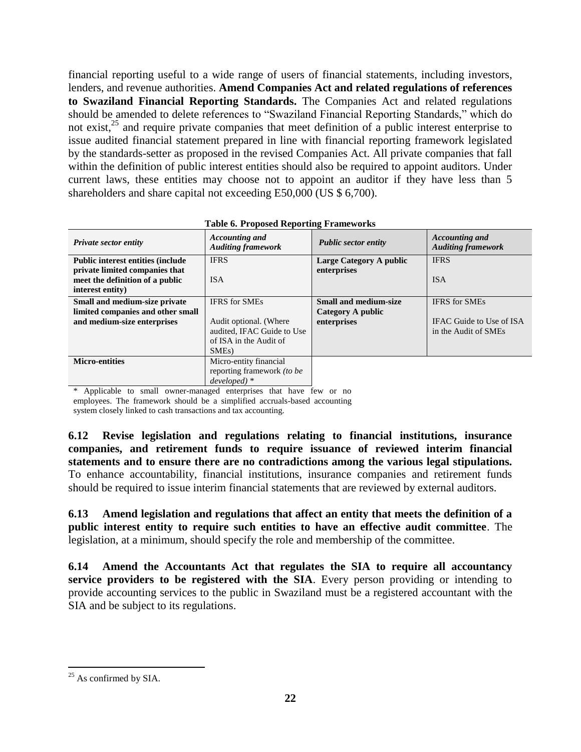financial reporting useful to a wide range of users of financial statements, including investors, lenders, and revenue authorities. **Amend Companies Act and related regulations of references to Swaziland Financial Reporting Standards.** The Companies Act and related regulations should be amended to delete references to "Swaziland Financial Reporting Standards," which do not exist, $^{25}$  and require private companies that meet definition of a public interest enterprise to issue audited financial statement prepared in line with financial reporting framework legislated by the standards-setter as proposed in the revised Companies Act. All private companies that fall within the definition of public interest entities should also be required to appoint auditors. Under current laws, these entities may choose not to appoint an auditor if they have less than 5 shareholders and share capital not exceeding E50,000 (US \$ 6,700).

|                                           |                                                    | -                            |                                                    |
|-------------------------------------------|----------------------------------------------------|------------------------------|----------------------------------------------------|
| <b>Private sector entity</b>              | <b>Accounting and</b><br><b>Auditing framework</b> | <b>Public sector entity</b>  | <b>Accounting and</b><br><b>Auditing framework</b> |
| <b>Public interest entities (include)</b> | <b>IFRS</b>                                        | Large Category A public      | <b>IFRS</b>                                        |
| private limited companies that            |                                                    | enterprises                  |                                                    |
| meet the definition of a public           | <b>ISA</b>                                         |                              | <b>ISA</b>                                         |
| interest entity)                          |                                                    |                              |                                                    |
| Small and medium-size private             | <b>IFRS</b> for SMEs                               | <b>Small and medium-size</b> | <b>IFRS</b> for SMEs                               |
| limited companies and other small         |                                                    | Category A public            |                                                    |
| and medium-size enterprises               | Audit optional. (Where                             | enterprises                  | IFAC Guide to Use of ISA                           |
|                                           | audited, IFAC Guide to Use                         |                              | in the Audit of SMEs                               |
|                                           | of ISA in the Audit of                             |                              |                                                    |
|                                           | SME <sub>s</sub> )                                 |                              |                                                    |
| <b>Micro-entities</b>                     | Micro-entity financial                             |                              |                                                    |
|                                           | reporting framework (to be                         |                              |                                                    |
|                                           | $developed)*$                                      |                              |                                                    |

**Table 6. Proposed Reporting Frameworks**

\* Applicable to small owner-managed enterprises that have few or no employees. The framework should be a simplified accruals-based accounting

system closely linked to cash transactions and tax accounting.

**6.12 Revise legislation and regulations relating to financial institutions, insurance companies, and retirement funds to require issuance of reviewed interim financial statements and to ensure there are no contradictions among the various legal stipulations.** To enhance accountability, financial institutions, insurance companies and retirement funds should be required to issue interim financial statements that are reviewed by external auditors.

**6.13 Amend legislation and regulations that affect an entity that meets the definition of a public interest entity to require such entities to have an effective audit committee**. The legislation, at a minimum, should specify the role and membership of the committee.

**6.14 Amend the Accountants Act that regulates the SIA to require all accountancy service providers to be registered with the SIA**. Every person providing or intending to provide accounting services to the public in Swaziland must be a registered accountant with the SIA and be subject to its regulations.

 $\overline{a}$  $25$  As confirmed by SIA.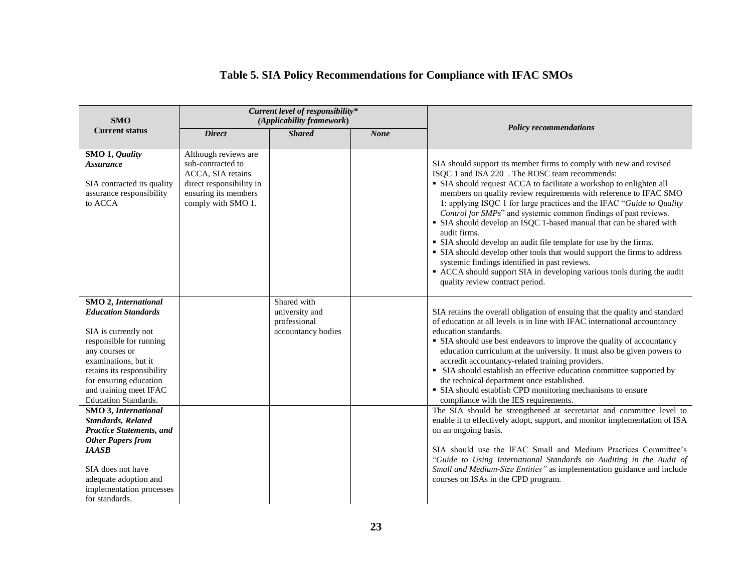| <b>SMO</b>                                                                                                                                                                                                                                                                                                                                                                                                                                                                                | Current level of responsibility*<br>(Applicability framework)                                                                            |                                                                     |             |                                                                                                                                                                                                                                                                                                                                                                                                                                                                                                                                                                                                                                                                                                                                                                                                                                                                                                                                                                                                                                                               |
|-------------------------------------------------------------------------------------------------------------------------------------------------------------------------------------------------------------------------------------------------------------------------------------------------------------------------------------------------------------------------------------------------------------------------------------------------------------------------------------------|------------------------------------------------------------------------------------------------------------------------------------------|---------------------------------------------------------------------|-------------|---------------------------------------------------------------------------------------------------------------------------------------------------------------------------------------------------------------------------------------------------------------------------------------------------------------------------------------------------------------------------------------------------------------------------------------------------------------------------------------------------------------------------------------------------------------------------------------------------------------------------------------------------------------------------------------------------------------------------------------------------------------------------------------------------------------------------------------------------------------------------------------------------------------------------------------------------------------------------------------------------------------------------------------------------------------|
| <b>Current status</b>                                                                                                                                                                                                                                                                                                                                                                                                                                                                     | <b>Direct</b>                                                                                                                            | <b>Shared</b>                                                       | <b>None</b> | <b>Policy recommendations</b>                                                                                                                                                                                                                                                                                                                                                                                                                                                                                                                                                                                                                                                                                                                                                                                                                                                                                                                                                                                                                                 |
| SMO 1, Quality<br><b>Assurance</b><br>SIA contracted its quality<br>assurance responsibility<br>to ACCA                                                                                                                                                                                                                                                                                                                                                                                   | Although reviews are<br>sub-contracted to<br>ACCA, SIA retains<br>direct responsibility in<br>ensuring its members<br>comply with SMO 1. |                                                                     |             | SIA should support its member firms to comply with new and revised<br>ISQC 1 and ISA 220. The ROSC team recommends:<br>• SIA should request ACCA to facilitate a workshop to enlighten all<br>members on quality review requirements with reference to IFAC SMO<br>1: applying ISQC 1 for large practices and the IFAC "Guide to Quality<br>Control for SMPs" and systemic common findings of past reviews.<br>• SIA should develop an ISQC 1-based manual that can be shared with<br>audit firms.<br>• SIA should develop an audit file template for use by the firms.<br>• SIA should develop other tools that would support the firms to address<br>systemic findings identified in past reviews.<br>• ACCA should support SIA in developing various tools during the audit<br>quality review contract period.                                                                                                                                                                                                                                             |
| SMO 2, International<br><b>Education Standards</b><br>SIA is currently not<br>responsible for running<br>any courses or<br>examinations, but it<br>retains its responsibility<br>for ensuring education<br>and training meet IFAC<br>Education Standards.<br>SMO 3, International<br><b>Standards, Related</b><br><b>Practice Statements, and</b><br><b>Other Papers from</b><br><b>IAASB</b><br>SIA does not have<br>adequate adoption and<br>implementation processes<br>for standards. |                                                                                                                                          | Shared with<br>university and<br>professional<br>accountancy bodies |             | SIA retains the overall obligation of ensuing that the quality and standard<br>of education at all levels is in line with IFAC international accountancy<br>education standards.<br>• SIA should use best endeavors to improve the quality of accountancy<br>education curriculum at the university. It must also be given powers to<br>accredit accountancy-related training providers.<br>• SIA should establish an effective education committee supported by<br>the technical department once established.<br>• SIA should establish CPD monitoring mechanisms to ensure<br>compliance with the IES requirements.<br>The SIA should be strengthened at secretariat and committee level to<br>enable it to effectively adopt, support, and monitor implementation of ISA<br>on an ongoing basis.<br>SIA should use the IFAC Small and Medium Practices Committee's<br>"Guide to Using International Standards on Auditing in the Audit of<br>Small and Medium-Size Entities" as implementation guidance and include<br>courses on ISAs in the CPD program. |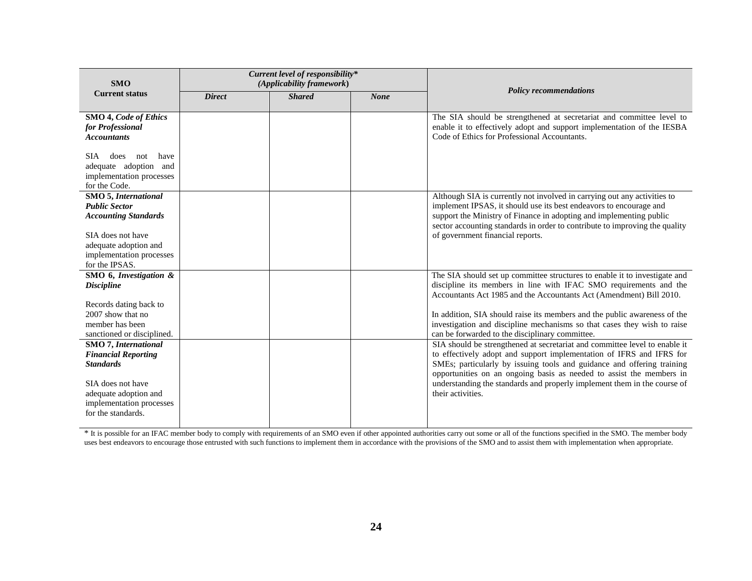| <b>SMO</b>                                                                                                                       | Current level of responsibility*<br>(Applicability framework) |               |             |                                                                                                                                                                                                                                                                                                                                          |
|----------------------------------------------------------------------------------------------------------------------------------|---------------------------------------------------------------|---------------|-------------|------------------------------------------------------------------------------------------------------------------------------------------------------------------------------------------------------------------------------------------------------------------------------------------------------------------------------------------|
| <b>Current status</b>                                                                                                            | <b>Direct</b>                                                 | <b>Shared</b> | <b>None</b> | <b>Policy recommendations</b>                                                                                                                                                                                                                                                                                                            |
| <b>SMO 4, Code of Ethics</b><br>for Professional<br><b>Accountants</b>                                                           |                                                               |               |             | The SIA should be strengthened at secretariat and committee level to<br>enable it to effectively adopt and support implementation of the IESBA<br>Code of Ethics for Professional Accountants.                                                                                                                                           |
| <b>SIA</b><br>have<br>does<br>not<br>adequate adoption and<br>implementation processes<br>for the Code.                          |                                                               |               |             |                                                                                                                                                                                                                                                                                                                                          |
| <b>SMO 5, International</b><br><b>Public Sector</b><br><b>Accounting Standards</b><br>SIA does not have<br>adequate adoption and |                                                               |               |             | Although SIA is currently not involved in carrying out any activities to<br>implement IPSAS, it should use its best endeavors to encourage and<br>support the Ministry of Finance in adopting and implementing public<br>sector accounting standards in order to contribute to improving the quality<br>of government financial reports. |
| implementation processes<br>for the IPSAS.                                                                                       |                                                               |               |             |                                                                                                                                                                                                                                                                                                                                          |
| SMO 6, Investigation &<br><b>Discipline</b>                                                                                      |                                                               |               |             | The SIA should set up committee structures to enable it to investigate and<br>discipline its members in line with IFAC SMO requirements and the<br>Accountants Act 1985 and the Accountants Act (Amendment) Bill 2010.                                                                                                                   |
| Records dating back to<br>2007 show that no<br>member has been<br>sanctioned or disciplined.                                     |                                                               |               |             | In addition, SIA should raise its members and the public awareness of the<br>investigation and discipline mechanisms so that cases they wish to raise<br>can be forwarded to the disciplinary committee.                                                                                                                                 |
| <b>SMO 7, International</b><br><b>Financial Reporting</b><br><b>Standards</b>                                                    |                                                               |               |             | SIA should be strengthened at secretariat and committee level to enable it<br>to effectively adopt and support implementation of IFRS and IFRS for<br>SMEs; particularly by issuing tools and guidance and offering training<br>opportunities on an ongoing basis as needed to assist the members in                                     |
| SIA does not have<br>adequate adoption and<br>implementation processes<br>for the standards.                                     |                                                               |               |             | understanding the standards and properly implement them in the course of<br>their activities.                                                                                                                                                                                                                                            |

\* It is possible for an IFAC member body to comply with requirements of an SMO even if other appointed authorities carry out some or all of the functions specified in the SMO. The member body uses best endeavors to encourage those entrusted with such functions to implement them in accordance with the provisions of the SMO and to assist them with implementation when appropriate.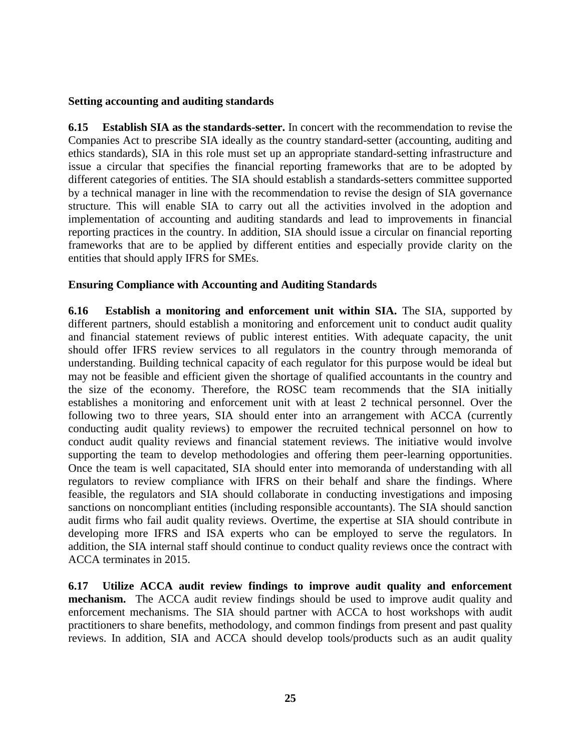#### **Setting accounting and auditing standards**

**6.15 Establish SIA as the standards-setter.** In concert with the recommendation to revise the Companies Act to prescribe SIA ideally as the country standard-setter (accounting, auditing and ethics standards), SIA in this role must set up an appropriate standard-setting infrastructure and issue a circular that specifies the financial reporting frameworks that are to be adopted by different categories of entities. The SIA should establish a standards-setters committee supported by a technical manager in line with the recommendation to revise the design of SIA governance structure. This will enable SIA to carry out all the activities involved in the adoption and implementation of accounting and auditing standards and lead to improvements in financial reporting practices in the country. In addition, SIA should issue a circular on financial reporting frameworks that are to be applied by different entities and especially provide clarity on the entities that should apply IFRS for SMEs.

## **Ensuring Compliance with Accounting and Auditing Standards**

**6.16 Establish a monitoring and enforcement unit within SIA.** The SIA, supported by different partners, should establish a monitoring and enforcement unit to conduct audit quality and financial statement reviews of public interest entities. With adequate capacity, the unit should offer IFRS review services to all regulators in the country through memoranda of understanding. Building technical capacity of each regulator for this purpose would be ideal but may not be feasible and efficient given the shortage of qualified accountants in the country and the size of the economy. Therefore, the ROSC team recommends that the SIA initially establishes a monitoring and enforcement unit with at least 2 technical personnel. Over the following two to three years, SIA should enter into an arrangement with ACCA (currently conducting audit quality reviews) to empower the recruited technical personnel on how to conduct audit quality reviews and financial statement reviews. The initiative would involve supporting the team to develop methodologies and offering them peer-learning opportunities. Once the team is well capacitated, SIA should enter into memoranda of understanding with all regulators to review compliance with IFRS on their behalf and share the findings. Where feasible, the regulators and SIA should collaborate in conducting investigations and imposing sanctions on noncompliant entities (including responsible accountants). The SIA should sanction audit firms who fail audit quality reviews. Overtime, the expertise at SIA should contribute in developing more IFRS and ISA experts who can be employed to serve the regulators. In addition, the SIA internal staff should continue to conduct quality reviews once the contract with ACCA terminates in 2015.

**6.17 Utilize ACCA audit review findings to improve audit quality and enforcement mechanism.** The ACCA audit review findings should be used to improve audit quality and enforcement mechanisms. The SIA should partner with ACCA to host workshops with audit practitioners to share benefits, methodology, and common findings from present and past quality reviews. In addition, SIA and ACCA should develop tools/products such as an audit quality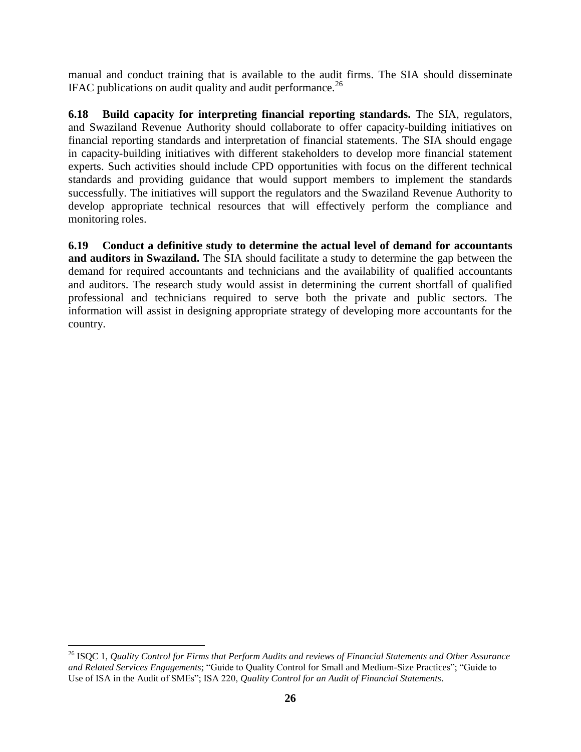manual and conduct training that is available to the audit firms. The SIA should disseminate IFAC publications on audit quality and audit performance.<sup>26</sup>

**6.18 Build capacity for interpreting financial reporting standards.** The SIA, regulators, and Swaziland Revenue Authority should collaborate to offer capacity-building initiatives on financial reporting standards and interpretation of financial statements. The SIA should engage in capacity-building initiatives with different stakeholders to develop more financial statement experts. Such activities should include CPD opportunities with focus on the different technical standards and providing guidance that would support members to implement the standards successfully. The initiatives will support the regulators and the Swaziland Revenue Authority to develop appropriate technical resources that will effectively perform the compliance and monitoring roles.

**6.19 Conduct a definitive study to determine the actual level of demand for accountants and auditors in Swaziland.** The SIA should facilitate a study to determine the gap between the demand for required accountants and technicians and the availability of qualified accountants and auditors. The research study would assist in determining the current shortfall of qualified professional and technicians required to serve both the private and public sectors. The information will assist in designing appropriate strategy of developing more accountants for the country.

<sup>26</sup> ISQC 1, *Quality Control for Firms that Perform Audits and reviews of Financial Statements and Other Assurance and Related Services Engagements*; "Guide to Quality Control for Small and Medium-Size Practices"; "Guide to Use of ISA in the Audit of SMEs"; ISA 220, *Quality Control for an Audit of Financial Statements*.